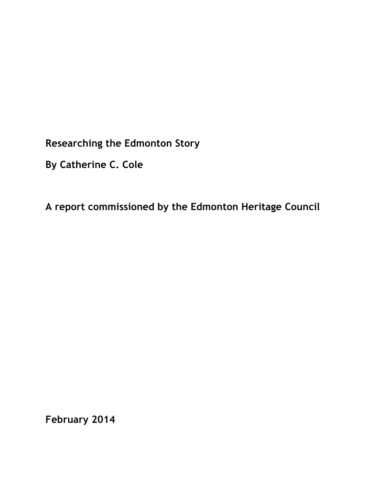**Researching the Edmonton Story**

**By Catherine C. Cole**

**A report commissioned by the Edmonton Heritage Council**

**February 2014**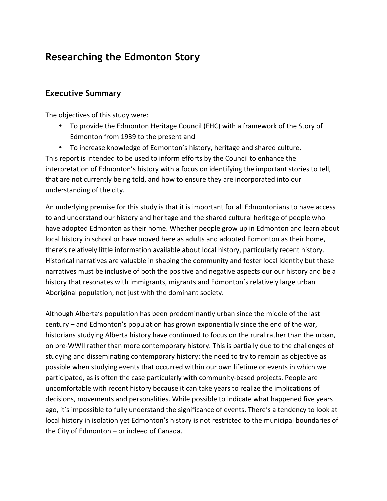# **Researching the Edmonton Story**

# **Executive Summary**

The objectives of this study were:

• To provide the Edmonton Heritage Council (EHC) with a framework of the Story of Edmonton from 1939 to the present and

• To increase knowledge of Edmonton's history, heritage and shared culture. This report is intended to be used to inform efforts by the Council to enhance the interpretation of Edmonton's history with a focus on identifying the important stories to tell, that are not currently being told, and how to ensure they are incorporated into our understanding of the city.

An underlying premise for this study is that it is important for all Edmontonians to have access to and understand our history and heritage and the shared cultural heritage of people who have adopted Edmonton as their home. Whether people grow up in Edmonton and learn about local history in school or have moved here as adults and adopted Edmonton as their home, there's relatively little information available about local history, particularly recent history. Historical narratives are valuable in shaping the community and foster local identity but these narratives must be inclusive of both the positive and negative aspects our our history and be a history that resonates with immigrants, migrants and Edmonton's relatively large urban Aboriginal population, not just with the dominant society.

Although Alberta's population has been predominantly urban since the middle of the last century – and Edmonton's population has grown exponentially since the end of the war, historians studying Alberta history have continued to focus on the rural rather than the urban, on pre-WWII rather than more contemporary history. This is partially due to the challenges of studying and disseminating contemporary history: the need to try to remain as objective as possible when studying events that occurred within our own lifetime or events in which we participated, as is often the case particularly with community-based projects. People are uncomfortable with recent history because it can take years to realize the implications of decisions, movements and personalities. While possible to indicate what happened five years ago, it's impossible to fully understand the significance of events. There's a tendency to look at local history in isolation yet Edmonton's history is not restricted to the municipal boundaries of the City of Edmonton  $-$  or indeed of Canada.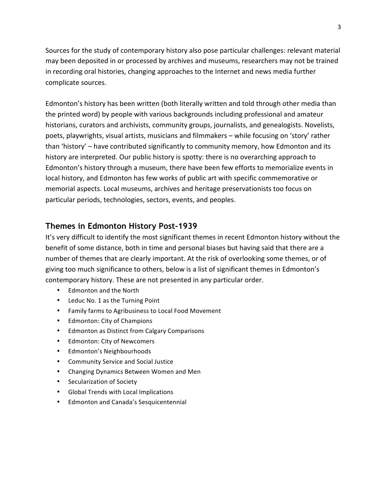Sources for the study of contemporary history also pose particular challenges: relevant material may been deposited in or processed by archives and museums, researchers may not be trained in recording oral histories, changing approaches to the Internet and news media further complicate sources.

Edmonton's history has been written (both literally written and told through other media than the printed word) by people with various backgrounds including professional and amateur historians, curators and archivists, community groups, journalists, and genealogists. Novelists, poets, playwrights, visual artists, musicians and filmmakers - while focusing on 'story' rather than 'history' – have contributed significantly to community memory, how Edmonton and its history are interpreted. Our public history is spotty: there is no overarching approach to Edmonton's history through a museum, there have been few efforts to memorialize events in local history, and Edmonton has few works of public art with specific commemorative or memorial aspects. Local museums, archives and heritage preservationists too focus on particular periods, technologies, sectors, events, and peoples.

## **Themes in Edmonton History Post-1939**

It's very difficult to identify the most significant themes in recent Edmonton history without the benefit of some distance, both in time and personal biases but having said that there are a number of themes that are clearly important. At the risk of overlooking some themes, or of giving too much significance to others, below is a list of significant themes in Edmonton's contemporary history. These are not presented in any particular order.

- Edmonton and the North
- Leduc No. 1 as the Turning Point
- Family farms to Agribusiness to Local Food Movement
- Edmonton: City of Champions
- Edmonton as Distinct from Calgary Comparisons
- Edmonton: City of Newcomers
- Edmonton's Neighbourhoods
- Community Service and Social Justice
- Changing Dynamics Between Women and Men
- Secularization of Society
- Global Trends with Local Implications
- Edmonton and Canada's Sesquicentennial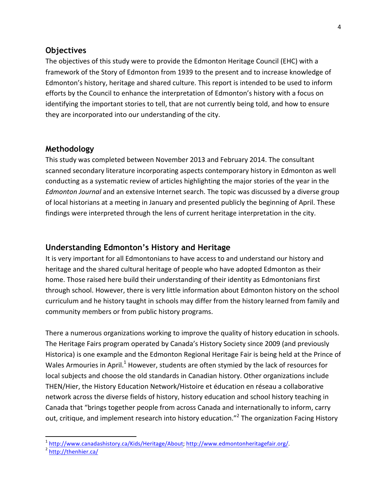#### **Objectives**

The objectives of this study were to provide the Edmonton Heritage Council (EHC) with a framework of the Story of Edmonton from 1939 to the present and to increase knowledge of Edmonton's history, heritage and shared culture. This report is intended to be used to inform efforts by the Council to enhance the interpretation of Edmonton's history with a focus on identifying the important stories to tell, that are not currently being told, and how to ensure they are incorporated into our understanding of the city.

#### **Methodology**

This study was completed between November 2013 and February 2014. The consultant scanned secondary literature incorporating aspects contemporary history in Edmonton as well conducting as a systematic review of articles highlighting the major stories of the year in the *Edmonton Journal* and an extensive Internet search. The topic was discussed by a diverse group of local historians at a meeting in January and presented publicly the beginning of April. These findings were interpreted through the lens of current heritage interpretation in the city.

## **Understanding Edmonton's History and Heritage**

It is very important for all Edmontonians to have access to and understand our history and heritage and the shared cultural heritage of people who have adopted Edmonton as their home. Those raised here build their understanding of their identity as Edmontonians first through school. However, there is very little information about Edmonton history on the school curriculum and he history taught in schools may differ from the history learned from family and community members or from public history programs.

There a numerous organizations working to improve the quality of history education in schools. The Heritage Fairs program operated by Canada's History Society since 2009 (and previously Historica) is one example and the Edmonton Regional Heritage Fair is being held at the Prince of Wales Armouries in April.<sup>1</sup> However, students are often stymied by the lack of resources for local subjects and choose the old standards in Canadian history. Other organizations include THEN/Hier, the History Education Network/Histoire et éducation en réseau a collaborative network across the diverse fields of history, history education and school history teaching in Canada that "brings together people from across Canada and internationally to inform, carry out, critique, and implement research into history education."<sup>2</sup> The organization Facing History

<sup>&</sup>lt;sup>1</sup> http://www.canadashistory.ca/Kids/Heritage/About; http://www.edmontonheritagefair.org/.<br><sup>2</sup> http://thenhier.ca/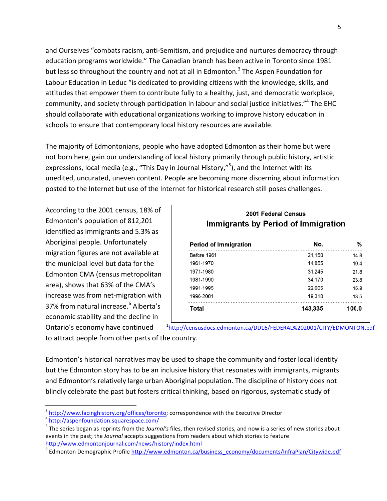and Ourselves "combats racism, anti-Semitism, and prejudice and nurtures democracy through education programs worldwide." The Canadian branch has been active in Toronto since 1981 but less so throughout the country and not at all in Edmonton.<sup>3</sup> The Aspen Foundation for Labour Education in Leduc "is dedicated to providing citizens with the knowledge, skills, and attitudes that empower them to contribute fully to a healthy, just, and democratic workplace, community, and society through participation in labour and social justice initiatives."<sup>4</sup> The EHC should collaborate with educational organizations working to improve history education in schools to ensure that contemporary local history resources are available.

The majority of Edmontonians, people who have adopted Edmonton as their home but were not born here, gain our understanding of local history primarily through public history, artistic expressions, local media (e.g., "This Day in Journal History,"<sup>5</sup>), and the Internet with its unedited, uncurated, uneven content. People are becoming more discerning about information posted to the Internet but use of the Internet for historical research still poses challenges.

According to the 2001 census, 18% of Edmonton's population of 812,201 identified as immigrants and 5.3% as Aboriginal people. Unfortunately migration figures are not available at the municipal level but data for the Edmonton CMA (census metropolitan area), shows that 63% of the CMA's increase was from net-migration with 37% from natural increase.<sup>6</sup> Alberta's economic stability and the decline in Ontario's economy have continued

| 2001 Federal Census<br>Immigrants by Period of Immigration |         |       |  |  |  |  |  |  |
|------------------------------------------------------------|---------|-------|--|--|--|--|--|--|
| <b>Period of Immigration</b>                               | No.     | %     |  |  |  |  |  |  |
| Before 1961                                                | 21.150  | 14.8  |  |  |  |  |  |  |
| 1961-1970                                                  | 14,855  | 10.4  |  |  |  |  |  |  |
| 1971-1980                                                  | 31.245  | 21.8  |  |  |  |  |  |  |
| 1981-1990                                                  | 34,170  | 23.8  |  |  |  |  |  |  |
| 1991-1995                                                  | 22.605  | 15.8  |  |  |  |  |  |  |
| 1996-2001                                                  | 19,310  | 13.5  |  |  |  |  |  |  |
| Total                                                      | 143,335 | 100.0 |  |  |  |  |  |  |

to attract people from other parts of the country. 1 http://censusdocs.edmonton.ca/DD16/FEDERAL%202001/CITY/EDMONTON.pdf

Edmonton's historical narratives may be used to shape the community and foster local identity but the Edmonton story has to be an inclusive history that resonates with immigrants, migrants and Edmonton's relatively large urban Aboriginal population. The discipline of history does not blindly celebrate the past but fosters critical thinking, based on rigorous, systematic study of

 

 $\frac{3}{1}$  http://www.facinghistory.org/offices/toronto; correspondence with the Executive Director  $\frac{4}{1}$  http://aspenfoundation.squarespace.com/

<sup>&</sup>lt;sup>5</sup> The series began as reprints from the *Journal's* files, then revised stories, and now is a series of new stories about events in the past; the *Journal* accepts suggestions from readers about which stories to feature http://www.edmontonjournal.com/news/history/index.html

 $\overline{6}$  Edmonton Demographic Profile http://www.edmonton.ca/business\_economy/documents/InfraPlan/Citywide.pdf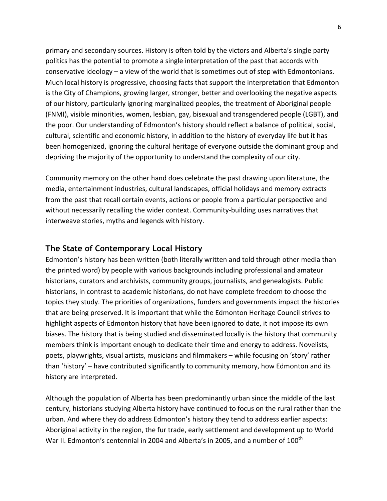primary and secondary sources. History is often told by the victors and Alberta's single party politics has the potential to promote a single interpretation of the past that accords with conservative ideology  $-$  a view of the world that is sometimes out of step with Edmontonians. Much local history is progressive, choosing facts that support the interpretation that Edmonton is the City of Champions, growing larger, stronger, better and overlooking the negative aspects of our history, particularly ignoring marginalized peoples, the treatment of Aboriginal people (FNMI), visible minorities, women, lesbian, gay, bisexual and transgendered people (LGBT), and the poor. Our understanding of Edmonton's history should reflect a balance of political, social, cultural, scientific and economic history, in addition to the history of everyday life but it has been homogenized, ignoring the cultural heritage of everyone outside the dominant group and depriving the majority of the opportunity to understand the complexity of our city.

Community memory on the other hand does celebrate the past drawing upon literature, the media, entertainment industries, cultural landscapes, official holidays and memory extracts from the past that recall certain events, actions or people from a particular perspective and without necessarily recalling the wider context. Community-building uses narratives that interweave stories, myths and legends with history.

# **The State of Contemporary Local History**

Edmonton's history has been written (both literally written and told through other media than the printed word) by people with various backgrounds including professional and amateur historians, curators and archivists, community groups, journalists, and genealogists. Public historians, in contrast to academic historians, do not have complete freedom to choose the topics they study. The priorities of organizations, funders and governments impact the histories that are being preserved. It is important that while the Edmonton Heritage Council strives to highlight aspects of Edmonton history that have been ignored to date, it not impose its own biases. The history that is being studied and disseminated locally is the history that community members think is important enough to dedicate their time and energy to address. Novelists, poets, playwrights, visual artists, musicians and filmmakers – while focusing on 'story' rather than 'history' – have contributed significantly to community memory, how Edmonton and its history are interpreted.

Although the population of Alberta has been predominantly urban since the middle of the last century, historians studying Alberta history have continued to focus on the rural rather than the urban. And where they do address Edmonton's history they tend to address earlier aspects: Aboriginal activity in the region, the fur trade, early settlement and development up to World War II. Edmonton's centennial in 2004 and Alberta's in 2005, and a number of 100<sup>th</sup>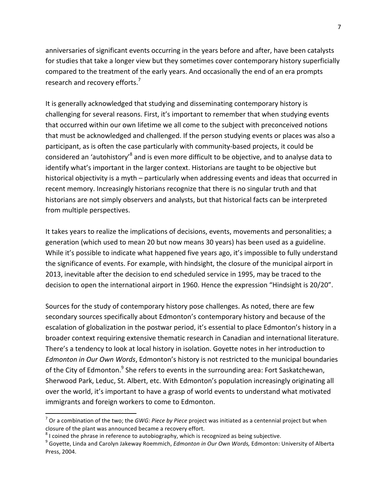anniversaries of significant events occurring in the years before and after, have been catalysts for studies that take a longer view but they sometimes cover contemporary history superficially compared to the treatment of the early years. And occasionally the end of an era prompts research and recovery efforts.<sup>7</sup>

It is generally acknowledged that studying and disseminating contemporary history is challenging for several reasons. First, it's important to remember that when studying events that occurred within our own lifetime we all come to the subject with preconceived notions that must be acknowledged and challenged. If the person studying events or places was also a participant, as is often the case particularly with community-based projects, it could be considered an 'autohistory'<sup>8</sup> and is even more difficult to be objective, and to analyse data to identify what's important in the larger context. Historians are taught to be objective but historical objectivity is a myth – particularly when addressing events and ideas that occurred in recent memory. Increasingly historians recognize that there is no singular truth and that historians are not simply observers and analysts, but that historical facts can be interpreted from multiple perspectives.

It takes years to realize the implications of decisions, events, movements and personalities; a generation (which used to mean 20 but now means 30 years) has been used as a guideline. While it's possible to indicate what happened five years ago, it's impossible to fully understand the significance of events. For example, with hindsight, the closure of the municipal airport in 2013, inevitable after the decision to end scheduled service in 1995, may be traced to the decision to open the international airport in 1960. Hence the expression "Hindsight is 20/20".

Sources for the study of contemporary history pose challenges. As noted, there are few secondary sources specifically about Edmonton's contemporary history and because of the escalation of globalization in the postwar period, it's essential to place Edmonton's history in a broader context requiring extensive thematic research in Canadian and international literature. There's a tendency to look at local history in isolation. Goyette notes in her introduction to *Edmonton in Our Own Words*, Edmonton's history is not restricted to the municipal boundaries of the City of Edmonton.<sup>9</sup> She refers to events in the surrounding area: Fort Saskatchewan, Sherwood Park, Leduc, St. Albert, etc. With Edmonton's population increasingly originating all over the world, it's important to have a grasp of world events to understand what motivated immigrants and foreign workers to come to Edmonton.

 $^7$  Or a combination of the two; the *GWG: Piece by Piece* project was initiated as a centennial project but when closure of the plant was announced became a recovery effort.

<sup>&</sup>lt;sup>8</sup> I coined the phrase in reference to autobiography, which is recognized as being subjective.<br><sup>9</sup> Goyette, Linda and Carolyn Jakeway Roemmich, *Edmonton in Our Own Words,* Edmonton: University of Alberta Press, 2004.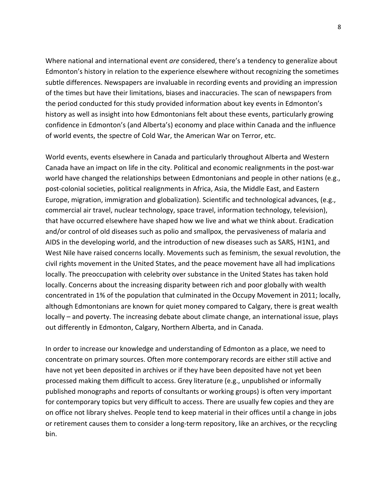Where national and international event *are* considered, there's a tendency to generalize about Edmonton's history in relation to the experience elsewhere without recognizing the sometimes subtle differences. Newspapers are invaluable in recording events and providing an impression of the times but have their limitations, biases and inaccuracies. The scan of newspapers from the period conducted for this study provided information about key events in Edmonton's history as well as insight into how Edmontonians felt about these events, particularly growing confidence in Edmonton's (and Alberta's) economy and place within Canada and the influence of world events, the spectre of Cold War, the American War on Terror, etc.

World events, events elsewhere in Canada and particularly throughout Alberta and Western Canada have an impact on life in the city. Political and economic realignments in the post-war world have changed the relationships between Edmontonians and people in other nations (e.g., post-colonial societies, political realignments in Africa, Asia, the Middle East, and Eastern Europe, migration, immigration and globalization). Scientific and technological advances, (e.g., commercial air travel, nuclear technology, space travel, information technology, television), that have occurred elsewhere have shaped how we live and what we think about. Eradication and/or control of old diseases such as polio and smallpox, the pervasiveness of malaria and AIDS in the developing world, and the introduction of new diseases such as SARS, H1N1, and West Nile have raised concerns locally. Movements such as feminism, the sexual revolution, the civil rights movement in the United States, and the peace movement have all had implications locally. The preoccupation with celebrity over substance in the United States has taken hold locally. Concerns about the increasing disparity between rich and poor globally with wealth concentrated in 1% of the population that culminated in the Occupy Movement in 2011; locally, although Edmontonians are known for quiet money compared to Calgary, there is great wealth locally – and poverty. The increasing debate about climate change, an international issue, plays out differently in Edmonton, Calgary, Northern Alberta, and in Canada.

In order to increase our knowledge and understanding of Edmonton as a place, we need to concentrate on primary sources. Often more contemporary records are either still active and have not yet been deposited in archives or if they have been deposited have not yet been processed making them difficult to access. Grey literature (e.g., unpublished or informally published monographs and reports of consultants or working groups) is often very important for contemporary topics but very difficult to access. There are usually few copies and they are on office not library shelves. People tend to keep material in their offices until a change in jobs or retirement causes them to consider a long-term repository, like an archives, or the recycling bin.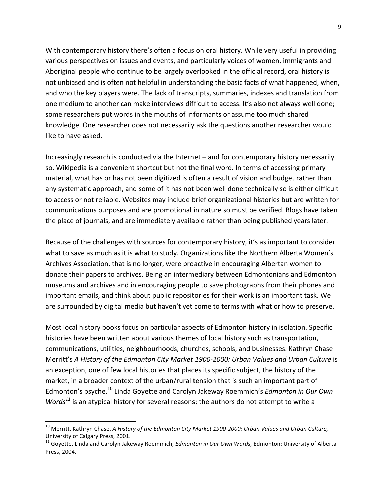With contemporary history there's often a focus on oral history. While very useful in providing various perspectives on issues and events, and particularly voices of women, immigrants and Aboriginal people who continue to be largely overlooked in the official record, oral history is not unbiased and is often not helpful in understanding the basic facts of what happened, when, and who the key players were. The lack of transcripts, summaries, indexes and translation from one medium to another can make interviews difficult to access. It's also not always well done; some researchers put words in the mouths of informants or assume too much shared knowledge. One researcher does not necessarily ask the questions another researcher would like to have asked.

Increasingly research is conducted via the Internet – and for contemporary history necessarily so. Wikipedia is a convenient shortcut but not the final word. In terms of accessing primary material, what has or has not been digitized is often a result of vision and budget rather than any systematic approach, and some of it has not been well done technically so is either difficult to access or not reliable. Websites may include brief organizational histories but are written for communications purposes and are promotional in nature so must be verified. Blogs have taken the place of journals, and are immediately available rather than being published years later.

Because of the challenges with sources for contemporary history, it's as important to consider what to save as much as it is what to study. Organizations like the Northern Alberta Women's Archives Association, that is no longer, were proactive in encouraging Albertan women to donate their papers to archives. Being an intermediary between Edmontonians and Edmonton museums and archives and in encouraging people to save photographs from their phones and important emails, and think about public repositories for their work is an important task. We are surrounded by digital media but haven't yet come to terms with what or how to preserve.

Most local history books focus on particular aspects of Edmonton history in isolation. Specific histories have been written about various themes of local history such as transportation, communications, utilities, neighbourhoods, churches, schools, and businesses. Kathryn Chase Merritt's A History of the Edmonton City Market 1900-2000: Urban Values and Urban Culture is an exception, one of few local histories that places its specific subject, the history of the market, in a broader context of the urban/rural tension that is such an important part of Edmonton's psyche.<sup>10</sup> Linda Goyette and Carolyn Jakeway Roemmich's *Edmonton in Our Own Words*<sup>11</sup> is an atypical history for several reasons; the authors do not attempt to write a

<sup>&</sup>lt;sup>10</sup> Merritt, Kathryn Chase, A History of the Edmonton City Market 1900-2000: Urban Values and Urban Culture, University of Calgary Press, 2001.

<sup>&</sup>lt;sup>11</sup> Govette, Linda and Carolyn Jakeway Roemmich, *Edmonton in Our Own Words*, Edmonton: University of Alberta Press, 2004.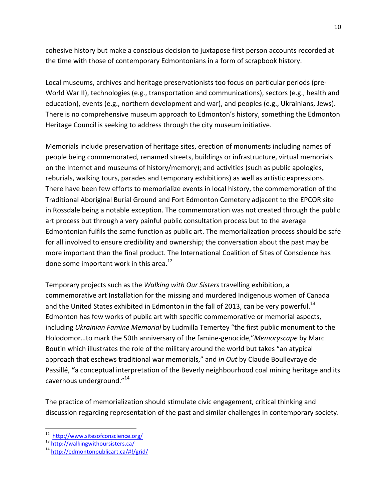cohesive history but make a conscious decision to juxtapose first person accounts recorded at the time with those of contemporary Edmontonians in a form of scrapbook history.

Local museums, archives and heritage preservationists too focus on particular periods (pre-World War II), technologies (e.g., transportation and communications), sectors (e.g., health and education), events (e.g., northern development and war), and peoples (e.g., Ukrainians, Jews). There is no comprehensive museum approach to Edmonton's history, something the Edmonton Heritage Council is seeking to address through the city museum initiative.

Memorials include preservation of heritage sites, erection of monuments including names of people being commemorated, renamed streets, buildings or infrastructure, virtual memorials on the Internet and museums of history/memory); and activities (such as public apologies, reburials, walking tours, parades and temporary exhibitions) as well as artistic expressions. There have been few efforts to memorialize events in local history, the commemoration of the Traditional Aboriginal Burial Ground and Fort Edmonton Cemetery adjacent to the EPCOR site in Rossdale being a notable exception. The commemoration was not created through the public art process but through a very painful public consultation process but to the average Edmontonian fulfils the same function as public art. The memorialization process should be safe for all involved to ensure credibility and ownership; the conversation about the past may be more important than the final product. The International Coalition of Sites of Conscience has done some important work in this area.<sup>12</sup>

Temporary projects such as the *Walking with Our Sisters* travelling exhibition, a commemorative art Installation for the missing and murdered Indigenous women of Canada and the United States exhibited in Edmonton in the fall of 2013, can be very powerful.<sup>13</sup> Edmonton has few works of public art with specific commemorative or memorial aspects, including *Ukrainian Famine Memorial* by Ludmilla Temertey "the first public monument to the Holodomor...to mark the 50th anniversary of the famine-genocide,"*Memoryscape* by Marc Boutin which illustrates the role of the military around the world but takes "an atypical approach that eschews traditional war memorials," and *In Out* by Claude Boullevraye de Passillé, "a conceptual interpretation of the Beverly neighbourhood coal mining heritage and its cavernous underground."<sup>14</sup>

The practice of memorialization should stimulate civic engagement, critical thinking and discussion regarding representation of the past and similar challenges in contemporary society.

<sup>&</sup>lt;u> 1989 - Johann Stein, markin film yn y breninn y breninn y breninn y breninn y breninn y breninn y breninn y b</u> <sup>12</sup> http://www.sitesofconscience.org/<br><sup>13</sup> http://walkingwithoursisters.ca/<br><sup>14</sup> http://edmontonpublicart.ca/#!/grid/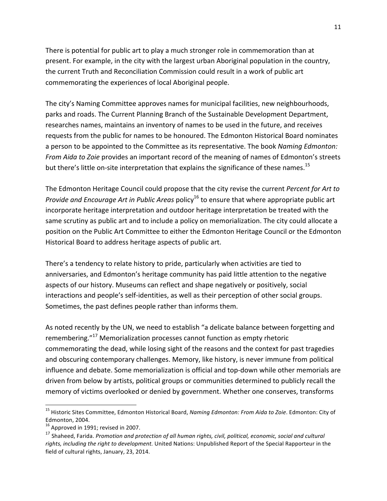There is potential for public art to play a much stronger role in commemoration than at present. For example, in the city with the largest urban Aboriginal population in the country, the current Truth and Reconciliation Commission could result in a work of public art commemorating the experiences of local Aboriginal people.

The city's Naming Committee approves names for municipal facilities, new neighbourhoods, parks and roads. The Current Planning Branch of the Sustainable Development Department, researches names, maintains an inventory of names to be used in the future, and receives requests from the public for names to be honoured. The Edmonton Historical Board nominates a person to be appointed to the Committee as its representative. The book *Naming Edmonton: From Aida to Zoie* provides an important record of the meaning of names of Edmonton's streets but there's little on-site interpretation that explains the significance of these names.<sup>15</sup>

The Edmonton Heritage Council could propose that the city revise the current *Percent for Art to Provide and Encourage Art in Public Areas* policy<sup>16</sup> to ensure that where appropriate public art incorporate heritage interpretation and outdoor heritage interpretation be treated with the same scrutiny as public art and to include a policy on memorialization. The city could allocate a position on the Public Art Committee to either the Edmonton Heritage Council or the Edmonton Historical Board to address heritage aspects of public art.

There's a tendency to relate history to pride, particularly when activities are tied to anniversaries, and Edmonton's heritage community has paid little attention to the negative aspects of our history. Museums can reflect and shape negatively or positively, social interactions and people's self-identities, as well as their perception of other social groups. Sometimes, the past defines people rather than informs them.

As noted recently by the UN, we need to establish "a delicate balance between forgetting and remembering."<sup>17</sup> Memorialization processes cannot function as empty rhetoric commemorating the dead, while losing sight of the reasons and the context for past tragedies and obscuring contemporary challenges. Memory, like history, is never immune from political influence and debate. Some memorialization is official and top-down while other memorials are driven from below by artists, political groups or communities determined to publicly recall the memory of victims overlooked or denied by government. Whether one conserves, transforms

<sup>&</sup>lt;sup>15</sup> Historic Sites Committee, Edmonton Historical Board, *Naming Edmonton: From Aida to Zoie*. Edmonton: City of Edmonton, 2004.

 $16$  Approved in 1991; revised in 2007.

<sup>&</sup>lt;sup>17</sup> Shaheed, Farida. Promotion and protection of all human rights, civil, political, economic, social and cultural rights, including the right to development. United Nations: Unpublished Report of the Special Rapporteur in the field of cultural rights, January, 23, 2014.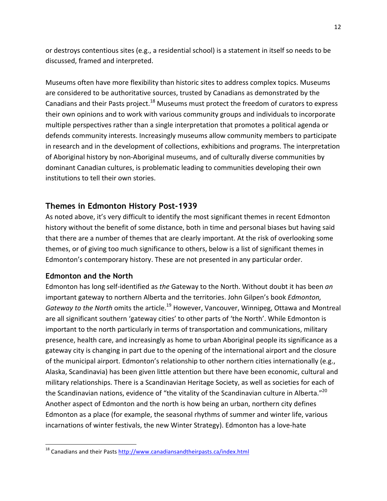or destroys contentious sites (e.g., a residential school) is a statement in itself so needs to be discussed, framed and interpreted.

Museums often have more flexibility than historic sites to address complex topics. Museums are considered to be authoritative sources, trusted by Canadians as demonstrated by the Canadians and their Pasts project.<sup>18</sup> Museums must protect the freedom of curators to express their own opinions and to work with various community groups and individuals to incorporate multiple perspectives rather than a single interpretation that promotes a political agenda or defends community interests. Increasingly museums allow community members to participate in research and in the development of collections, exhibitions and programs. The interpretation of Aboriginal history by non-Aboriginal museums, and of culturally diverse communities by dominant Canadian cultures, is problematic leading to communities developing their own institutions to tell their own stories.

# **Themes in Edmonton History Post-1939**

As noted above, it's very difficult to identify the most significant themes in recent Edmonton history without the benefit of some distance, both in time and personal biases but having said that there are a number of themes that are clearly important. At the risk of overlooking some themes, or of giving too much significance to others, below is a list of significant themes in Edmonton's contemporary history. These are not presented in any particular order.

#### **Edmonton and the North**

<u> 1989 - Johann Stein, markin film yn y breninn y breninn y breninn y breninn y breninn y breninn y breninn y b</u>

Edmonton has long self-identified as the Gateway to the North. Without doubt it has been an important gateway to northern Alberta and the territories. John Gilpen's book *Edmonton*, *Gateway to the North* omits the article.<sup>19</sup> However, Vancouver, Winnipeg, Ottawa and Montreal are all significant southern 'gateway cities' to other parts of 'the North'. While Edmonton is important to the north particularly in terms of transportation and communications, military presence, health care, and increasingly as home to urban Aboriginal people its significance as a gateway city is changing in part due to the opening of the international airport and the closure of the municipal airport. Edmonton's relationship to other northern cities internationally (e.g., Alaska, Scandinavia) has been given little attention but there have been economic, cultural and military relationships. There is a Scandinavian Heritage Society, as well as societies for each of the Scandinavian nations, evidence of "the vitality of the Scandinavian culture in Alberta."<sup>20</sup> Another aspect of Edmonton and the north is how being an urban, northern city defines Edmonton as a place (for example, the seasonal rhythms of summer and winter life, various incarnations of winter festivals, the new Winter Strategy). Edmonton has a love-hate

 $^{18}$  Canadians and their Pasts  $\frac{http://www.canadiansandtheirparts.ca/index.html}{$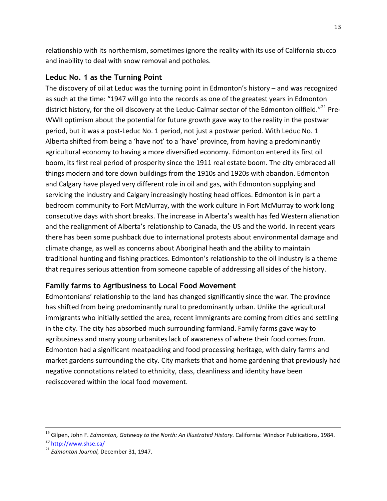relationship with its northernism, sometimes ignore the reality with its use of California stucco and inability to deal with snow removal and potholes.

### **Leduc No. 1 as the Turning Point**

The discovery of oil at Leduc was the turning point in Edmonton's history – and was recognized as such at the time: "1947 will go into the records as one of the greatest years in Edmonton district history, for the oil discovery at the Leduc-Calmar sector of the Edmonton oilfield."<sup>21</sup> Pre-WWII optimism about the potential for future growth gave way to the reality in the postwar period, but it was a post-Leduc No. 1 period, not just a postwar period. With Leduc No. 1 Alberta shifted from being a 'have not' to a 'have' province, from having a predominantly agricultural economy to having a more diversified economy. Edmonton entered its first oil boom, its first real period of prosperity since the 1911 real estate boom. The city embraced all things modern and tore down buildings from the 1910s and 1920s with abandon. Edmonton and Calgary have played very different role in oil and gas, with Edmonton supplying and servicing the industry and Calgary increasingly hosting head offices. Edmonton is in part a bedroom community to Fort McMurray, with the work culture in Fort McMurray to work long consecutive days with short breaks. The increase in Alberta's wealth has fed Western alienation and the realignment of Alberta's relationship to Canada, the US and the world. In recent years there has been some pushback due to international protests about environmental damage and climate change, as well as concerns about Aboriginal heath and the ability to maintain traditional hunting and fishing practices. Edmonton's relationship to the oil industry is a theme that requires serious attention from someone capable of addressing all sides of the history.

## **Family farms to Agribusiness to Local Food Movement**

Edmontonians' relationship to the land has changed significantly since the war. The province has shifted from being predominantly rural to predominantly urban. Unlike the agricultural immigrants who initially settled the area, recent immigrants are coming from cities and settling in the city. The city has absorbed much surrounding farmland. Family farms gave way to agribusiness and many young urbanites lack of awareness of where their food comes from. Edmonton had a significant meatpacking and food processing heritage, with dairy farms and market gardens surrounding the city. City markets that and home gardening that previously had negative connotations related to ethnicity, class, cleanliness and identity have been rediscovered within the local food movement.

<sup>&</sup>lt;u> 1989 - Andrea Santa Andrea Andrea Andrea Andrea Andrea Andrea Andrea Andrea Andrea Andrea Andrea Andrea Andr</u> <sup>19</sup> Gilpen, John F. *Edmonton, Gateway to the North: An Illustrated History*. California: Windsor Publications, 1984.

<sup>&</sup>lt;sup>20</sup> http://www.shse.ca/<br><sup>21</sup> *Edmonton Journal,* December 31, 1947.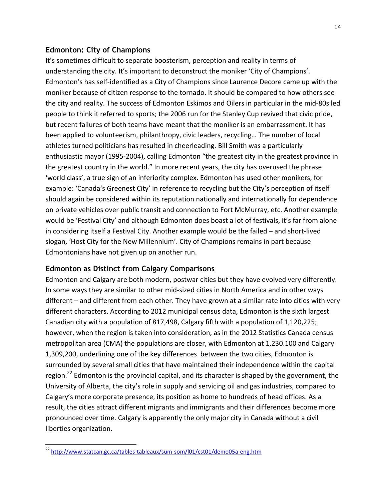#### **Edmonton: City of Champions**

It's sometimes difficult to separate boosterism, perception and reality in terms of understanding the city. It's important to deconstruct the moniker 'City of Champions'. Edmonton's has self-identified as a City of Champions since Laurence Decore came up with the moniker because of citizen response to the tornado. It should be compared to how others see the city and reality. The success of Edmonton Eskimos and Oilers in particular in the mid-80s led people to think it referred to sports; the 2006 run for the Stanley Cup revived that civic pride, but recent failures of both teams have meant that the moniker is an embarrassment. It has been applied to volunteerism, philanthropy, civic leaders, recycling... The number of local athletes turned politicians has resulted in cheerleading. Bill Smith was a particularly enthusiastic mayor (1995-2004), calling Edmonton "the greatest city in the greatest province in the greatest country in the world." In more recent years, the city has overused the phrase 'world class', a true sign of an inferiority complex. Edmonton has used other monikers, for example: 'Canada's Greenest City' in reference to recycling but the City's perception of itself should again be considered within its reputation nationally and internationally for dependence on private vehicles over public transit and connection to Fort McMurray, etc. Another example would be 'Festival City' and although Edmonton does boast a lot of festivals, it's far from alone in considering itself a Festival City. Another example would be the failed – and short-lived slogan, 'Host City for the New Millennium'. City of Champions remains in part because Edmontonians have not given up on another run.

## **Edmonton as Distinct from Calgary Comparisons**

Edmonton and Calgary are both modern, postwar cities but they have evolved very differently. In some ways they are similar to other mid-sized cities in North America and in other ways different – and different from each other. They have grown at a similar rate into cities with very different characters. According to 2012 municipal census data, Edmonton is the sixth largest Canadian city with a population of 817,498, Calgary fifth with a population of 1,120,225; however, when the region is taken into consideration, as in the 2012 Statistics Canada census metropolitan area (CMA) the populations are closer, with Edmonton at 1,230.100 and Calgary 1,309,200, underlining one of the key differences between the two cities, Edmonton is surrounded by several small cities that have maintained their independence within the capital region.<sup>22</sup> Edmonton is the provincial capital, and its character is shaped by the government, the University of Alberta, the city's role in supply and servicing oil and gas industries, compared to Calgary's more corporate presence, its position as home to hundreds of head offices. As a result, the cities attract different migrants and immigrants and their differences become more pronounced over time. Calgary is apparently the only major city in Canada without a civil liberties organization.

<sup>&</sup>lt;sup>22</sup> http://www.statcan.gc.ca/tables-tableaux/sum-som/l01/cst01/demo05a-eng.htm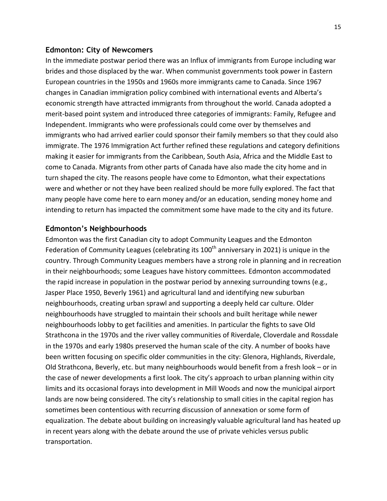#### **Edmonton: City of Newcomers**

In the immediate postwar period there was an Influx of immigrants from Europe including war brides and those displaced by the war. When communist governments took power in Eastern European countries in the 1950s and 1960s more immigrants came to Canada. Since 1967 changes in Canadian immigration policy combined with international events and Alberta's economic strength have attracted immigrants from throughout the world. Canada adopted a merit-based point system and introduced three categories of immigrants: Family, Refugee and Independent. Immigrants who were professionals could come over by themselves and immigrants who had arrived earlier could sponsor their family members so that they could also immigrate. The 1976 Immigration Act further refined these regulations and category definitions making it easier for immigrants from the Caribbean, South Asia, Africa and the Middle East to come to Canada. Migrants from other parts of Canada have also made the city home and in turn shaped the city. The reasons people have come to Edmonton, what their expectations were and whether or not they have been realized should be more fully explored. The fact that many people have come here to earn money and/or an education, sending money home and intending to return has impacted the commitment some have made to the city and its future.

#### **Edmonton's Neighbourhoods**

Edmonton was the first Canadian city to adopt Community Leagues and the Edmonton Federation of Community Leagues (celebrating its  $100<sup>th</sup>$  anniversary in 2021) is unique in the country. Through Community Leagues members have a strong role in planning and in recreation in their neighbourhoods; some Leagues have history committees. Edmonton accommodated the rapid increase in population in the postwar period by annexing surrounding towns (e.g., Jasper Place 1950, Beverly 1961) and agricultural land and identifying new suburban neighbourhoods, creating urban sprawl and supporting a deeply held car culture. Older neighbourhoods have struggled to maintain their schools and built heritage while newer neighbourhoods lobby to get facilities and amenities. In particular the fights to save Old Strathcona in the 1970s and the river valley communities of Riverdale, Cloverdale and Rossdale in the 1970s and early 1980s preserved the human scale of the city. A number of books have been written focusing on specific older communities in the city: Glenora, Highlands, Riverdale, Old Strathcona, Beverly, etc. but many neighbourhoods would benefit from a fresh look – or in the case of newer developments a first look. The city's approach to urban planning within city limits and its occasional forays into development in Mill Woods and now the municipal airport lands are now being considered. The city's relationship to small cities in the capital region has sometimes been contentious with recurring discussion of annexation or some form of equalization. The debate about building on increasingly valuable agricultural land has heated up in recent years along with the debate around the use of private vehicles versus public transportation.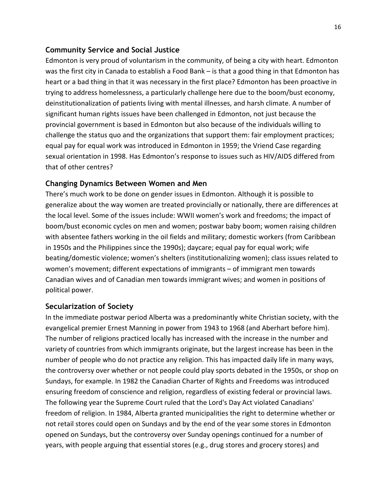#### **Community Service and Social Justice**

Edmonton is very proud of voluntarism in the community, of being a city with heart. Edmonton was the first city in Canada to establish a Food Bank – is that a good thing in that Edmonton has heart or a bad thing in that it was necessary in the first place? Edmonton has been proactive in trying to address homelessness, a particularly challenge here due to the boom/bust economy, deinstitutionalization of patients living with mental illnesses, and harsh climate. A number of significant human rights issues have been challenged in Edmonton, not just because the provincial government is based in Edmonton but also because of the individuals willing to challenge the status quo and the organizations that support them: fair employment practices; equal pay for equal work was introduced in Edmonton in 1959; the Vriend Case regarding sexual orientation in 1998. Has Edmonton's response to issues such as HIV/AIDS differed from that of other centres?

## **Changing Dynamics Between Women and Men**

There's much work to be done on gender issues in Edmonton. Although it is possible to generalize about the way women are treated provincially or nationally, there are differences at the local level. Some of the issues include: WWII women's work and freedoms; the impact of boom/bust economic cycles on men and women; postwar baby boom; women raising children with absentee fathers working in the oil fields and military; domestic workers (from Caribbean in 1950s and the Philippines since the 1990s); daycare; equal pay for equal work; wife beating/domestic violence; women's shelters (institutionalizing women); class issues related to women's movement; different expectations of immigrants – of immigrant men towards Canadian wives and of Canadian men towards immigrant wives; and women in positions of political power.

#### **Secularization of Society**

In the immediate postwar period Alberta was a predominantly white Christian society, with the evangelical premier Ernest Manning in power from 1943 to 1968 (and Aberhart before him). The number of religions practiced locally has increased with the increase in the number and variety of countries from which immigrants originate, but the largest increase has been in the number of people who do not practice any religion. This has impacted daily life in many ways, the controversy over whether or not people could play sports debated in the 1950s, or shop on Sundays, for example. In 1982 the Canadian Charter of Rights and Freedoms was introduced ensuring freedom of conscience and religion, regardless of existing federal or provincial laws. The following year the Supreme Court ruled that the Lord's Day Act violated Canadians' freedom of religion. In 1984, Alberta granted municipalities the right to determine whether or not retail stores could open on Sundays and by the end of the year some stores in Edmonton opened on Sundays, but the controversy over Sunday openings continued for a number of years, with people arguing that essential stores (e.g., drug stores and grocery stores) and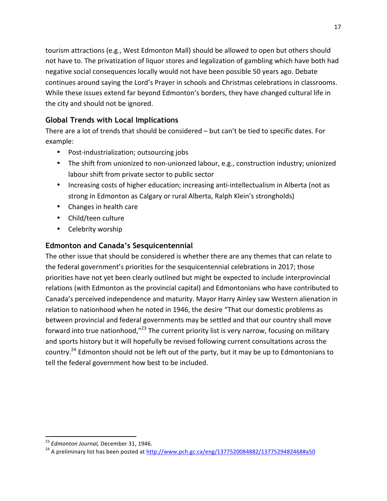tourism attractions (e.g., West Edmonton Mall) should be allowed to open but others should not have to. The privatization of liquor stores and legalization of gambling which have both had negative social consequences locally would not have been possible 50 years ago. Debate continues around saying the Lord's Prayer in schools and Christmas celebrations in classrooms. While these issues extend far beyond Edmonton's borders, they have changed cultural life in the city and should not be ignored.

# **Global Trends with Local Implications**

There are a lot of trends that should be considered  $-$  but can't be tied to specific dates. For example:

- Post-industrialization; outsourcing jobs
- The shift from unionized to non-unionzed labour, e.g., construction industry; unionized labour shift from private sector to public sector
- Increasing costs of higher education; increasing anti-intellectualism in Alberta (not as strong in Edmonton as Calgary or rural Alberta, Ralph Klein's strongholds)
- Changes in health care
- Child/teen culture
- Celebrity worship

# **Edmonton and Canada's Sesquicentennial**

The other issue that should be considered is whether there are any themes that can relate to the federal government's priorities for the sesquicentennial celebrations in 2017; those priorities have not yet been clearly outlined but might be expected to include interprovincial relations (with Edmonton as the provincial capital) and Edmontonians who have contributed to Canada's perceived independence and maturity. Mayor Harry Ainley saw Western alienation in relation to nationhood when he noted in 1946, the desire "That our domestic problems as between provincial and federal governments may be settled and that our country shall move forward into true nationhood," $^{23}$  The current priority list is very narrow, focusing on military and sports history but it will hopefully be revised following current consultations across the country.<sup>24</sup> Edmonton should not be left out of the party, but it may be up to Edmontonians to tell the federal government how best to be included.

<sup>&</sup>lt;sup>23</sup> *Edmonton Journal,* December 31, 1946.<br><sup>24</sup> A preliminary list has been posted at http://www.pch.gc.ca/eng/1377520084882/1377529482468#a50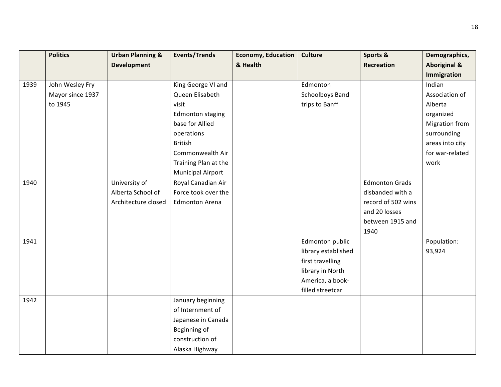|      | <b>Politics</b>  | <b>Urban Planning &amp;</b> | <b>Events/Trends</b>     | <b>Economy, Education</b> | <b>Culture</b>      | Sports &              | Demographics,           |
|------|------------------|-----------------------------|--------------------------|---------------------------|---------------------|-----------------------|-------------------------|
|      |                  | <b>Development</b>          |                          | & Health                  |                     | <b>Recreation</b>     | <b>Aboriginal &amp;</b> |
|      |                  |                             |                          |                           |                     |                       | Immigration             |
| 1939 | John Wesley Fry  |                             | King George VI and       |                           | Edmonton            |                       | Indian                  |
|      | Mayor since 1937 |                             | Queen Elisabeth          |                           | Schoolboys Band     |                       | Association of          |
|      | to 1945          |                             | visit                    |                           | trips to Banff      |                       | Alberta                 |
|      |                  |                             | <b>Edmonton staging</b>  |                           |                     |                       | organized               |
|      |                  |                             | base for Allied          |                           |                     |                       | <b>Migration from</b>   |
|      |                  |                             | operations               |                           |                     |                       | surrounding             |
|      |                  |                             | <b>British</b>           |                           |                     |                       | areas into city         |
|      |                  |                             | Commonwealth Air         |                           |                     |                       | for war-related         |
|      |                  |                             | Training Plan at the     |                           |                     |                       | work                    |
|      |                  |                             | <b>Municipal Airport</b> |                           |                     |                       |                         |
| 1940 |                  | University of               | Royal Canadian Air       |                           |                     | <b>Edmonton Grads</b> |                         |
|      |                  | Alberta School of           | Force took over the      |                           |                     | disbanded with a      |                         |
|      |                  | Architecture closed         | <b>Edmonton Arena</b>    |                           |                     | record of 502 wins    |                         |
|      |                  |                             |                          |                           |                     | and 20 losses         |                         |
|      |                  |                             |                          |                           |                     | between 1915 and      |                         |
|      |                  |                             |                          |                           |                     | 1940                  |                         |
| 1941 |                  |                             |                          |                           | Edmonton public     |                       | Population:             |
|      |                  |                             |                          |                           | library established |                       | 93,924                  |
|      |                  |                             |                          |                           | first travelling    |                       |                         |
|      |                  |                             |                          |                           | library in North    |                       |                         |
|      |                  |                             |                          |                           | America, a book-    |                       |                         |
|      |                  |                             |                          |                           | filled streetcar    |                       |                         |
| 1942 |                  |                             | January beginning        |                           |                     |                       |                         |
|      |                  |                             | of Internment of         |                           |                     |                       |                         |
|      |                  |                             | Japanese in Canada       |                           |                     |                       |                         |
|      |                  |                             | Beginning of             |                           |                     |                       |                         |
|      |                  |                             | construction of          |                           |                     |                       |                         |
|      |                  |                             | Alaska Highway           |                           |                     |                       |                         |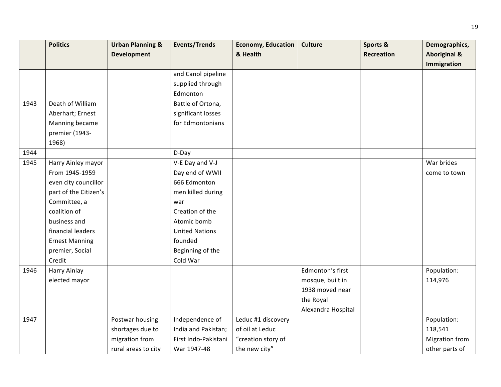|      | <b>Politics</b>       | <b>Urban Planning &amp;</b> | <b>Events/Trends</b>  | <b>Economy, Education</b> | <b>Culture</b>     | Sports &          | Demographics,           |
|------|-----------------------|-----------------------------|-----------------------|---------------------------|--------------------|-------------------|-------------------------|
|      |                       | <b>Development</b>          |                       | & Health                  |                    | <b>Recreation</b> | <b>Aboriginal &amp;</b> |
|      |                       |                             |                       |                           |                    |                   | Immigration             |
|      |                       |                             | and Canol pipeline    |                           |                    |                   |                         |
|      |                       |                             | supplied through      |                           |                    |                   |                         |
|      |                       |                             | Edmonton              |                           |                    |                   |                         |
| 1943 | Death of William      |                             | Battle of Ortona,     |                           |                    |                   |                         |
|      | Aberhart; Ernest      |                             | significant losses    |                           |                    |                   |                         |
|      | Manning became        |                             | for Edmontonians      |                           |                    |                   |                         |
|      | premier (1943-        |                             |                       |                           |                    |                   |                         |
|      | 1968)                 |                             |                       |                           |                    |                   |                         |
| 1944 |                       |                             | D-Day                 |                           |                    |                   |                         |
| 1945 | Harry Ainley mayor    |                             | V-E Day and V-J       |                           |                    |                   | War brides              |
|      | From 1945-1959        |                             | Day end of WWII       |                           |                    |                   | come to town            |
|      | even city councillor  |                             | 666 Edmonton          |                           |                    |                   |                         |
|      | part of the Citizen's |                             | men killed during     |                           |                    |                   |                         |
|      | Committee, a          |                             | war                   |                           |                    |                   |                         |
|      | coalition of          |                             | Creation of the       |                           |                    |                   |                         |
|      | business and          |                             | Atomic bomb           |                           |                    |                   |                         |
|      | financial leaders     |                             | <b>United Nations</b> |                           |                    |                   |                         |
|      | <b>Ernest Manning</b> |                             | founded               |                           |                    |                   |                         |
|      | premier, Social       |                             | Beginning of the      |                           |                    |                   |                         |
|      | Credit                |                             | Cold War              |                           |                    |                   |                         |
| 1946 | Harry Ainlay          |                             |                       |                           | Edmonton's first   |                   | Population:             |
|      | elected mayor         |                             |                       |                           | mosque, built in   |                   | 114,976                 |
|      |                       |                             |                       |                           | 1938 moved near    |                   |                         |
|      |                       |                             |                       |                           | the Royal          |                   |                         |
|      |                       |                             |                       |                           | Alexandra Hospital |                   |                         |
| 1947 |                       | Postwar housing             | Independence of       | Leduc #1 discovery        |                    |                   | Population:             |
|      |                       | shortages due to            | India and Pakistan;   | of oil at Leduc           |                    |                   | 118,541                 |
|      |                       | migration from              | First Indo-Pakistani  | "creation story of        |                    |                   | <b>Migration from</b>   |
|      |                       | rural areas to city         | War 1947-48           | the new city"             |                    |                   | other parts of          |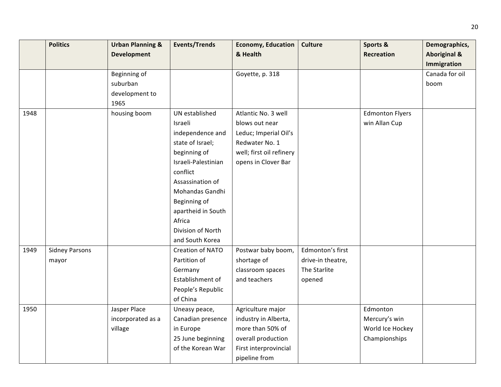|      | <b>Politics</b>       | <b>Urban Planning &amp;</b> | <b>Events/Trends</b> | <b>Economy, Education</b> | <b>Culture</b>    | Sports &               | Demographics,           |
|------|-----------------------|-----------------------------|----------------------|---------------------------|-------------------|------------------------|-------------------------|
|      |                       | <b>Development</b>          |                      | & Health                  |                   | <b>Recreation</b>      | <b>Aboriginal &amp;</b> |
|      |                       |                             |                      |                           |                   |                        | Immigration             |
|      |                       | Beginning of                |                      | Goyette, p. 318           |                   |                        | Canada for oil          |
|      |                       | suburban                    |                      |                           |                   |                        | boom                    |
|      |                       | development to              |                      |                           |                   |                        |                         |
|      |                       | 1965                        |                      |                           |                   |                        |                         |
| 1948 |                       | housing boom                | UN established       | Atlantic No. 3 well       |                   | <b>Edmonton Flyers</b> |                         |
|      |                       |                             | Israeli              | blows out near            |                   | win Allan Cup          |                         |
|      |                       |                             | independence and     | Leduc; Imperial Oil's     |                   |                        |                         |
|      |                       |                             | state of Israel;     | Redwater No. 1            |                   |                        |                         |
|      |                       |                             | beginning of         | well; first oil refinery  |                   |                        |                         |
|      |                       |                             | Israeli-Palestinian  | opens in Clover Bar       |                   |                        |                         |
|      |                       |                             | conflict             |                           |                   |                        |                         |
|      |                       |                             | Assassination of     |                           |                   |                        |                         |
|      |                       |                             | Mohandas Gandhi      |                           |                   |                        |                         |
|      |                       |                             | Beginning of         |                           |                   |                        |                         |
|      |                       |                             | apartheid in South   |                           |                   |                        |                         |
|      |                       |                             | Africa               |                           |                   |                        |                         |
|      |                       |                             | Division of North    |                           |                   |                        |                         |
|      |                       |                             | and South Korea      |                           |                   |                        |                         |
| 1949 | <b>Sidney Parsons</b> |                             | Creation of NATO     | Postwar baby boom,        | Edmonton's first  |                        |                         |
|      | mayor                 |                             | Partition of         | shortage of               | drive-in theatre, |                        |                         |
|      |                       |                             | Germany              | classroom spaces          | The Starlite      |                        |                         |
|      |                       |                             | Establishment of     | and teachers              | opened            |                        |                         |
|      |                       |                             | People's Republic    |                           |                   |                        |                         |
|      |                       |                             | of China             |                           |                   |                        |                         |
| 1950 |                       | Jasper Place                | Uneasy peace,        | Agriculture major         |                   | Edmonton               |                         |
|      |                       | incorporated as a           | Canadian presence    | industry in Alberta,      |                   | Mercury's win          |                         |
|      |                       | village                     | in Europe            | more than 50% of          |                   | World Ice Hockey       |                         |
|      |                       |                             | 25 June beginning    | overall production        |                   | Championships          |                         |
|      |                       |                             | of the Korean War    | First interprovincial     |                   |                        |                         |
|      |                       |                             |                      | pipeline from             |                   |                        |                         |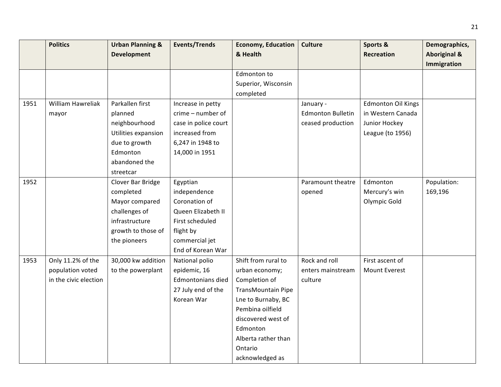|      | <b>Politics</b>       | <b>Urban Planning &amp;</b> | <b>Events/Trends</b> | <b>Economy, Education</b> | <b>Culture</b>           | Sports &                  | Demographics,           |
|------|-----------------------|-----------------------------|----------------------|---------------------------|--------------------------|---------------------------|-------------------------|
|      |                       | <b>Development</b>          |                      | & Health                  |                          | <b>Recreation</b>         | <b>Aboriginal &amp;</b> |
|      |                       |                             |                      |                           |                          |                           | Immigration             |
|      |                       |                             |                      | Edmonton to               |                          |                           |                         |
|      |                       |                             |                      | Superior, Wisconsin       |                          |                           |                         |
|      |                       |                             |                      | completed                 |                          |                           |                         |
| 1951 | William Hawreliak     | Parkallen first             | Increase in petty    |                           | January -                | <b>Edmonton Oil Kings</b> |                         |
|      | mayor                 | planned                     | crime - number of    |                           | <b>Edmonton Bulletin</b> | in Western Canada         |                         |
|      |                       | neighbourhood               | case in police court |                           | ceased production        | Junior Hockey             |                         |
|      |                       | Utilities expansion         | increased from       |                           |                          | League (to 1956)          |                         |
|      |                       | due to growth               | 6,247 in 1948 to     |                           |                          |                           |                         |
|      |                       | Edmonton                    | 14,000 in 1951       |                           |                          |                           |                         |
|      |                       | abandoned the               |                      |                           |                          |                           |                         |
|      |                       | streetcar                   |                      |                           |                          |                           |                         |
| 1952 |                       | Clover Bar Bridge           | Egyptian             |                           | Paramount theatre        | Edmonton                  | Population:             |
|      |                       | completed                   | independence         |                           | opened                   | Mercury's win             | 169,196                 |
|      |                       | Mayor compared              | Coronation of        |                           |                          | Olympic Gold              |                         |
|      |                       | challenges of               | Queen Elizabeth II   |                           |                          |                           |                         |
|      |                       | infrastructure              | First scheduled      |                           |                          |                           |                         |
|      |                       | growth to those of          | flight by            |                           |                          |                           |                         |
|      |                       | the pioneers                | commercial jet       |                           |                          |                           |                         |
|      |                       |                             | End of Korean War    |                           |                          |                           |                         |
| 1953 | Only 11.2% of the     | 30,000 kw addition          | National polio       | Shift from rural to       | Rock and roll            | First ascent of           |                         |
|      | population voted      | to the powerplant           | epidemic, 16         | urban economy;            | enters mainstream        | Mount Everest             |                         |
|      | in the civic election |                             | Edmontonians died    | Completion of             | culture                  |                           |                         |
|      |                       |                             | 27 July end of the   | TransMountain Pipe        |                          |                           |                         |
|      |                       |                             | Korean War           | Lne to Burnaby, BC        |                          |                           |                         |
|      |                       |                             |                      | Pembina oilfield          |                          |                           |                         |
|      |                       |                             |                      | discovered west of        |                          |                           |                         |
|      |                       |                             |                      | Edmonton                  |                          |                           |                         |
|      |                       |                             |                      | Alberta rather than       |                          |                           |                         |
|      |                       |                             |                      | Ontario                   |                          |                           |                         |
|      |                       |                             |                      | acknowledged as           |                          |                           |                         |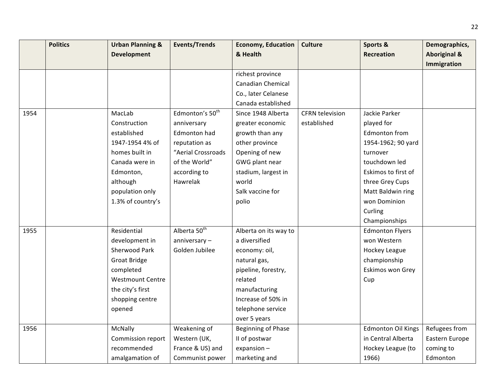|      | <b>Politics</b> | <b>Urban Planning &amp;</b> | <b>Events/Trends</b>        | <b>Economy, Education</b> | <b>Culture</b>         | Sports &                  | Demographics,           |
|------|-----------------|-----------------------------|-----------------------------|---------------------------|------------------------|---------------------------|-------------------------|
|      |                 | <b>Development</b>          |                             | & Health                  |                        | <b>Recreation</b>         | <b>Aboriginal &amp;</b> |
|      |                 |                             |                             |                           |                        |                           | <b>Immigration</b>      |
|      |                 |                             |                             | richest province          |                        |                           |                         |
|      |                 |                             |                             | <b>Canadian Chemical</b>  |                        |                           |                         |
|      |                 |                             |                             | Co., later Celanese       |                        |                           |                         |
|      |                 |                             |                             | Canada established        |                        |                           |                         |
| 1954 |                 | MacLab                      | Edmonton's 50 <sup>th</sup> | Since 1948 Alberta        | <b>CFRN</b> television | Jackie Parker             |                         |
|      |                 | Construction                | anniversary                 | greater economic          | established            | played for                |                         |
|      |                 | established                 | Edmonton had                | growth than any           |                        | Edmonton from             |                         |
|      |                 | 1947-1954 4% of             | reputation as               | other province            |                        | 1954-1962; 90 yard        |                         |
|      |                 | homes built in              | "Aerial Crossroads          | Opening of new            |                        | turnover                  |                         |
|      |                 | Canada were in              | of the World"               | GWG plant near            |                        | touchdown led             |                         |
|      |                 | Edmonton,                   | according to                | stadium, largest in       |                        | Eskimos to first of       |                         |
|      |                 | although                    | Hawrelak                    | world                     |                        | three Grey Cups           |                         |
|      |                 | population only             |                             | Salk vaccine for          |                        | Matt Baldwin ring         |                         |
|      |                 | 1.3% of country's           |                             | polio                     |                        | won Dominion              |                         |
|      |                 |                             |                             |                           |                        | Curling                   |                         |
|      |                 |                             |                             |                           |                        | Championships             |                         |
| 1955 |                 | Residential                 | Alberta 50 <sup>th</sup>    | Alberta on its way to     |                        | <b>Edmonton Flyers</b>    |                         |
|      |                 | development in              | $anniversity -$             | a diversified             |                        | won Western               |                         |
|      |                 | Sherwood Park               | Golden Jubilee              | economy: oil,             |                        | Hockey League             |                         |
|      |                 | <b>Groat Bridge</b>         |                             | natural gas,              |                        | championship              |                         |
|      |                 | completed                   |                             | pipeline, forestry,       |                        | Eskimos won Grey          |                         |
|      |                 | <b>Westmount Centre</b>     |                             | related                   |                        | Cup                       |                         |
|      |                 | the city's first            |                             | manufacturing             |                        |                           |                         |
|      |                 | shopping centre             |                             | Increase of 50% in        |                        |                           |                         |
|      |                 | opened                      |                             | telephone service         |                        |                           |                         |
|      |                 |                             |                             | over 5 years              |                        |                           |                         |
| 1956 |                 | McNally                     | Weakening of                | Beginning of Phase        |                        | <b>Edmonton Oil Kings</b> | Refugees from           |
|      |                 | Commission report           | Western (UK,                | II of postwar             |                        | in Central Alberta        | Eastern Europe          |
|      |                 | recommended                 | France & US) and            | expansion-                |                        | Hockey League (to         | coming to               |
|      |                 | amalgamation of             | Communist power             | marketing and             |                        | 1966)                     | Edmonton                |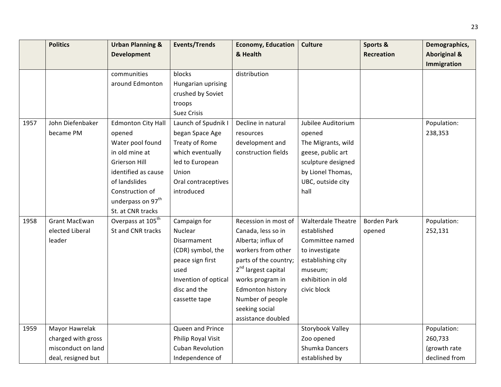|      | <b>Politics</b>      | <b>Urban Planning &amp;</b>   | <b>Events/Trends</b>    | <b>Economy, Education</b>       | <b>Culture</b>            | Sports &           | Demographics,           |
|------|----------------------|-------------------------------|-------------------------|---------------------------------|---------------------------|--------------------|-------------------------|
|      |                      | <b>Development</b>            |                         | & Health                        |                           | <b>Recreation</b>  | <b>Aboriginal &amp;</b> |
|      |                      |                               |                         |                                 |                           |                    | Immigration             |
|      |                      | communities                   | blocks                  | distribution                    |                           |                    |                         |
|      |                      | around Edmonton               | Hungarian uprising      |                                 |                           |                    |                         |
|      |                      |                               | crushed by Soviet       |                                 |                           |                    |                         |
|      |                      |                               | troops                  |                                 |                           |                    |                         |
|      |                      |                               | <b>Suez Crisis</b>      |                                 |                           |                    |                         |
| 1957 | John Diefenbaker     | <b>Edmonton City Hall</b>     | Launch of Spudnik I     | Decline in natural              | Jubilee Auditorium        |                    | Population:             |
|      | became PM            | opened                        | began Space Age         | resources                       | opened                    |                    | 238,353                 |
|      |                      | Water pool found              | Treaty of Rome          | development and                 | The Migrants, wild        |                    |                         |
|      |                      | in old mine at                | which eventually        | construction fields             | geese, public art         |                    |                         |
|      |                      | Grierson Hill                 | led to European         |                                 | sculpture designed        |                    |                         |
|      |                      | identified as cause           | Union                   |                                 | by Lionel Thomas,         |                    |                         |
|      |                      | of landslides                 | Oral contraceptives     |                                 | UBC, outside city         |                    |                         |
|      |                      | Construction of               | introduced              |                                 | hall                      |                    |                         |
|      |                      | underpass on 97 <sup>th</sup> |                         |                                 |                           |                    |                         |
|      |                      | St. at CNR tracks             |                         |                                 |                           |                    |                         |
| 1958 | <b>Grant MacEwan</b> | Overpass at 105 <sup>th</sup> | Campaign for            | Recession in most of            | <b>Walterdale Theatre</b> | <b>Borden Park</b> | Population:             |
|      | elected Liberal      | St and CNR tracks             | <b>Nuclear</b>          | Canada, less so in              | established               | opened             | 252,131                 |
|      | leader               |                               | Disarmament             | Alberta; influx of              | Committee named           |                    |                         |
|      |                      |                               | (CDR) symbol, the       | workers from other              | to investigate            |                    |                         |
|      |                      |                               | peace sign first        | parts of the country;           | establishing city         |                    |                         |
|      |                      |                               | used                    | 2 <sup>nd</sup> largest capital | museum;                   |                    |                         |
|      |                      |                               | Invention of optical    | works program in                | exhibition in old         |                    |                         |
|      |                      |                               | disc and the            | Edmonton history                | civic block               |                    |                         |
|      |                      |                               | cassette tape           | Number of people                |                           |                    |                         |
|      |                      |                               |                         | seeking social                  |                           |                    |                         |
|      |                      |                               |                         | assistance doubled              |                           |                    |                         |
| 1959 | Mayor Hawrelak       |                               | Queen and Prince        |                                 | Storybook Valley          |                    | Population:             |
|      | charged with gross   |                               | Philip Royal Visit      |                                 | Zoo opened                |                    | 260,733                 |
|      | misconduct on land   |                               | <b>Cuban Revolution</b> |                                 | Shumka Dancers            |                    | (growth rate            |
|      | deal, resigned but   |                               | Independence of         |                                 | established by            |                    | declined from           |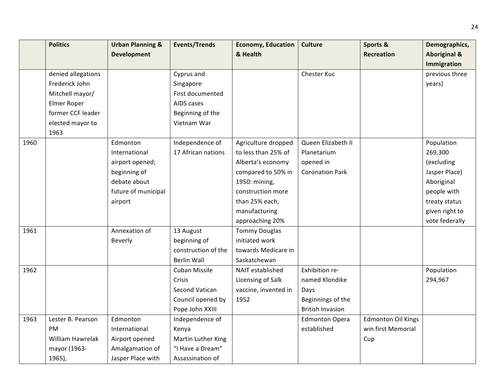|      | <b>Politics</b>    | <b>Urban Planning &amp;</b> | <b>Events/Trends</b> | <b>Economy, Education</b> | <b>Culture</b>          | Sports &                  | Demographics,           |
|------|--------------------|-----------------------------|----------------------|---------------------------|-------------------------|---------------------------|-------------------------|
|      |                    | <b>Development</b>          |                      | & Health                  |                         | <b>Recreation</b>         | <b>Aboriginal &amp;</b> |
|      |                    |                             |                      |                           |                         |                           | Immigration             |
|      | denied allegations |                             | Cyprus and           |                           | Chester Kuc             |                           | previous three          |
|      | Frederick John     |                             | Singapore            |                           |                         |                           | years)                  |
|      | Mitchell mayor/    |                             | First documented     |                           |                         |                           |                         |
|      | Elmer Roper        |                             | AIDS cases           |                           |                         |                           |                         |
|      | former CCF leader  |                             | Beginning of the     |                           |                         |                           |                         |
|      | elected mayor to   |                             | Vietnam War          |                           |                         |                           |                         |
|      | 1963               |                             |                      |                           |                         |                           |                         |
| 1960 |                    | Edmonton                    | Independence of      | Agriculture dropped       | Queen Elizabeth II      |                           | Population              |
|      |                    | International               | 17 African nations   | to less than 25% of       | Planetarium             |                           | 269,300                 |
|      |                    | airport opened;             |                      | Alberta's economy         | opened in               |                           | (excluding              |
|      |                    | beginning of                |                      | compared to 50% in        | <b>Coronation Park</b>  |                           | Jasper Place)           |
|      |                    | debate about                |                      | 1950: mining,             |                         |                           | Aboriginal              |
|      |                    | future of municipal         |                      | construction more         |                         |                           | people with             |
|      |                    | airport                     |                      | than 25% each,            |                         |                           | treaty status           |
|      |                    |                             |                      | manufacturing             |                         |                           | given right to          |
|      |                    |                             |                      | approaching 20%           |                         |                           | vote federally          |
| 1961 |                    | Annexation of               | 13 August            | <b>Tommy Douglas</b>      |                         |                           |                         |
|      |                    | Beverly                     | beginning of         | initiated work            |                         |                           |                         |
|      |                    |                             | construction of the  | towards Medicare in       |                         |                           |                         |
|      |                    |                             | <b>Berlin Wall</b>   | Saskatchewan              |                         |                           |                         |
| 1962 |                    |                             | Cuban Missile        | NAIT established          | Exhibition re-          |                           | Population              |
|      |                    |                             | Crisis               | Licensing of Salk         | named Klondike          |                           | 294,967                 |
|      |                    |                             | Second Vatican       | vaccine, invented in      | Days                    |                           |                         |
|      |                    |                             | Council opened by    | 1952                      | Beginnings of the       |                           |                         |
|      |                    |                             | Pope John XXIII      |                           | <b>British Invasion</b> |                           |                         |
| 1963 | Lester B. Pearson  | Edmonton                    | Independence of      |                           | <b>Edmonton Opera</b>   | <b>Edmonton Oil Kings</b> |                         |
|      | <b>PM</b>          | International               | Kenya                |                           | established             | win first Memorial        |                         |
|      | William Hawrelak   | Airport opened              | Martin Luther King   |                           |                         | Cup                       |                         |
|      | mayor (1963-       | Amalgamation of             | "I Have a Dream"     |                           |                         |                           |                         |
|      | $1965$ ),          | Jasper Place with           | Assassination of     |                           |                         |                           |                         |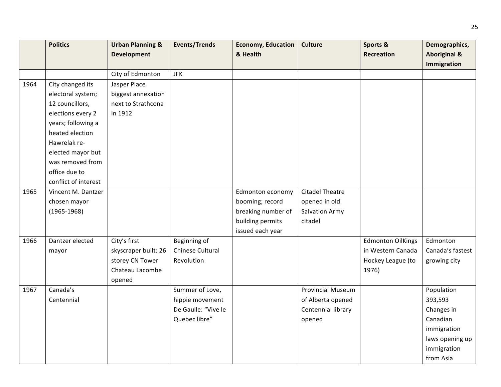|      | <b>Politics</b>      | <b>Urban Planning &amp;</b> | <b>Events/Trends</b> | <b>Economy, Education</b> | <b>Culture</b>           | Sports &                 | Demographics,           |
|------|----------------------|-----------------------------|----------------------|---------------------------|--------------------------|--------------------------|-------------------------|
|      |                      | <b>Development</b>          |                      | & Health                  |                          | <b>Recreation</b>        | <b>Aboriginal &amp;</b> |
|      |                      |                             |                      |                           |                          |                          | Immigration             |
|      |                      | City of Edmonton            | <b>JFK</b>           |                           |                          |                          |                         |
| 1964 | City changed its     | Jasper Place                |                      |                           |                          |                          |                         |
|      | electoral system;    | biggest annexation          |                      |                           |                          |                          |                         |
|      | 12 councillors,      | next to Strathcona          |                      |                           |                          |                          |                         |
|      | elections every 2    | in 1912                     |                      |                           |                          |                          |                         |
|      | years; following a   |                             |                      |                           |                          |                          |                         |
|      | heated election      |                             |                      |                           |                          |                          |                         |
|      | Hawrelak re-         |                             |                      |                           |                          |                          |                         |
|      | elected mayor but    |                             |                      |                           |                          |                          |                         |
|      | was removed from     |                             |                      |                           |                          |                          |                         |
|      | office due to        |                             |                      |                           |                          |                          |                         |
|      | conflict of interest |                             |                      |                           |                          |                          |                         |
| 1965 | Vincent M. Dantzer   |                             |                      | Edmonton economy          | <b>Citadel Theatre</b>   |                          |                         |
|      | chosen mayor         |                             |                      | booming; record           | opened in old            |                          |                         |
|      | $(1965 - 1968)$      |                             |                      | breaking number of        | <b>Salvation Army</b>    |                          |                         |
|      |                      |                             |                      | building permits          | citadel                  |                          |                         |
|      |                      |                             |                      | issued each year          |                          |                          |                         |
| 1966 | Dantzer elected      | City's first                | Beginning of         |                           |                          | <b>Edmonton OilKings</b> | Edmonton                |
|      | mayor                | skyscraper built: 26        | Chinese Cultural     |                           |                          | in Western Canada        | Canada's fastest        |
|      |                      | storey CN Tower             | Revolution           |                           |                          | Hockey League (to        | growing city            |
|      |                      | Chateau Lacombe             |                      |                           |                          | 1976)                    |                         |
|      |                      | opened                      |                      |                           |                          |                          |                         |
| 1967 | Canada's             |                             | Summer of Love,      |                           | <b>Provincial Museum</b> |                          | Population              |
|      | Centennial           |                             | hippie movement      |                           | of Alberta opened        |                          | 393,593                 |
|      |                      |                             | De Gaulle: "Vive le  |                           | Centennial library       |                          | Changes in              |
|      |                      |                             | Quebec libre"        |                           | opened                   |                          | Canadian                |
|      |                      |                             |                      |                           |                          |                          | immigration             |
|      |                      |                             |                      |                           |                          |                          | laws opening up         |
|      |                      |                             |                      |                           |                          |                          | immigration             |
|      |                      |                             |                      |                           |                          |                          | from Asia               |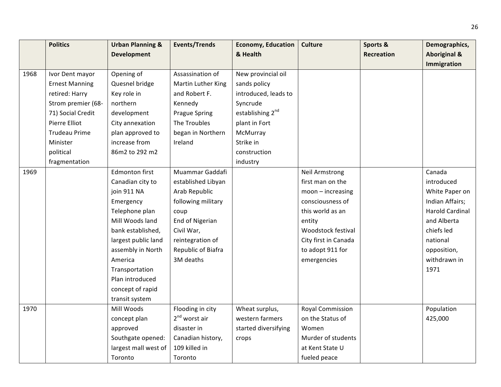|      | <b>Politics</b>       | <b>Urban Planning &amp;</b> | <b>Events/Trends</b> | <b>Economy, Education</b>    | <b>Culture</b>          | Sports &   | Demographics,           |
|------|-----------------------|-----------------------------|----------------------|------------------------------|-------------------------|------------|-------------------------|
|      |                       | <b>Development</b>          |                      | & Health                     |                         | Recreation | <b>Aboriginal &amp;</b> |
|      |                       |                             |                      |                              |                         |            | Immigration             |
| 1968 | Ivor Dent mayor       | Opening of                  | Assassination of     | New provincial oil           |                         |            |                         |
|      | <b>Ernest Manning</b> | Quesnel bridge              | Martin Luther King   | sands policy                 |                         |            |                         |
|      | retired: Harry        | Key role in                 | and Robert F.        | introduced, leads to         |                         |            |                         |
|      | Strom premier (68-    | northern                    | Kennedy              | Syncrude                     |                         |            |                         |
|      | 71) Social Credit     | development                 | <b>Prague Spring</b> | establishing 2 <sup>nd</sup> |                         |            |                         |
|      | Pierre Elliot         | City annexation             | The Troubles         | plant in Fort                |                         |            |                         |
|      | <b>Trudeau Prime</b>  | plan approved to            | began in Northern    | McMurray                     |                         |            |                         |
|      | Minister              | increase from               | Ireland              | Strike in                    |                         |            |                         |
|      | political             | 86m2 to 292 m2              |                      | construction                 |                         |            |                         |
|      | fragmentation         |                             |                      | industry                     |                         |            |                         |
| 1969 |                       | Edmonton first              | Muammar Gaddafi      |                              | <b>Neil Armstrong</b>   |            | Canada                  |
|      |                       | Canadian city to            | established Libyan   |                              | first man on the        |            | introduced              |
|      |                       | join 911 NA                 | Arab Republic        |                              | $moon - increasing$     |            | White Paper on          |
|      |                       | Emergency                   | following military   |                              | consciousness of        |            | Indian Affairs;         |
|      |                       | Telephone plan              | coup                 |                              | this world as an        |            | <b>Harold Cardinal</b>  |
|      |                       | Mill Woods land             | End of Nigerian      |                              | entity                  |            | and Alberta             |
|      |                       | bank established,           | Civil War,           |                              | Woodstock festival      |            | chiefs led              |
|      |                       | largest public land         | reintegration of     |                              | City first in Canada    |            | national                |
|      |                       | assembly in North           | Republic of Biafra   |                              | to adopt 911 for        |            | opposition,             |
|      |                       | America                     | 3M deaths            |                              | emergencies             |            | withdrawn in            |
|      |                       | Transportation              |                      |                              |                         |            | 1971                    |
|      |                       | Plan introduced             |                      |                              |                         |            |                         |
|      |                       | concept of rapid            |                      |                              |                         |            |                         |
|      |                       | transit system              |                      |                              |                         |            |                         |
| 1970 |                       | Mill Woods                  | Flooding in city     | Wheat surplus,               | <b>Royal Commission</b> |            | Population              |
|      |                       | concept plan                | $2nd$ worst air      | western farmers              | on the Status of        |            | 425,000                 |
|      |                       | approved                    | disaster in          | started diversifying         | Women                   |            |                         |
|      |                       | Southgate opened:           | Canadian history,    | crops                        | Murder of students      |            |                         |
|      |                       | largest mall west of        | 109 killed in        |                              | at Kent State U         |            |                         |
|      |                       | Toronto                     | Toronto              |                              | fueled peace            |            |                         |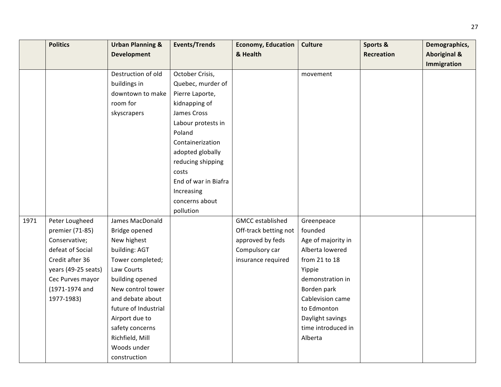|      | <b>Politics</b>     | <b>Urban Planning &amp;</b> | <b>Events/Trends</b> | <b>Economy, Education</b> | <b>Culture</b>     | Sports &          | Demographics,           |
|------|---------------------|-----------------------------|----------------------|---------------------------|--------------------|-------------------|-------------------------|
|      |                     | <b>Development</b>          |                      | & Health                  |                    | <b>Recreation</b> | <b>Aboriginal &amp;</b> |
|      |                     |                             |                      |                           |                    |                   | Immigration             |
|      |                     | Destruction of old          | October Crisis,      |                           | movement           |                   |                         |
|      |                     | buildings in                | Quebec, murder of    |                           |                    |                   |                         |
|      |                     | downtown to make            | Pierre Laporte,      |                           |                    |                   |                         |
|      |                     | room for                    | kidnapping of        |                           |                    |                   |                         |
|      |                     | skyscrapers                 | James Cross          |                           |                    |                   |                         |
|      |                     |                             | Labour protests in   |                           |                    |                   |                         |
|      |                     |                             | Poland               |                           |                    |                   |                         |
|      |                     |                             | Containerization     |                           |                    |                   |                         |
|      |                     |                             | adopted globally     |                           |                    |                   |                         |
|      |                     |                             | reducing shipping    |                           |                    |                   |                         |
|      |                     |                             | costs                |                           |                    |                   |                         |
|      |                     |                             | End of war in Biafra |                           |                    |                   |                         |
|      |                     |                             | Increasing           |                           |                    |                   |                         |
|      |                     |                             | concerns about       |                           |                    |                   |                         |
|      |                     |                             | pollution            |                           |                    |                   |                         |
| 1971 | Peter Lougheed      | James MacDonald             |                      | <b>GMCC</b> established   | Greenpeace         |                   |                         |
|      | premier (71-85)     | Bridge opened               |                      | Off-track betting not     | founded            |                   |                         |
|      | Conservative;       | New highest                 |                      | approved by feds          | Age of majority in |                   |                         |
|      | defeat of Social    | building: AGT               |                      | Compulsory car            | Alberta lowered    |                   |                         |
|      | Credit after 36     | Tower completed;            |                      | insurance required        | from 21 to 18      |                   |                         |
|      | years (49-25 seats) | Law Courts                  |                      |                           | Yippie             |                   |                         |
|      | Cec Purves mayor    | building opened             |                      |                           | demonstration in   |                   |                         |
|      | (1971-1974 and      | New control tower           |                      |                           | Borden park        |                   |                         |
|      | 1977-1983)          | and debate about            |                      |                           | Cablevision came   |                   |                         |
|      |                     | future of Industrial        |                      |                           | to Edmonton        |                   |                         |
|      |                     | Airport due to              |                      |                           | Daylight savings   |                   |                         |
|      |                     | safety concerns             |                      |                           | time introduced in |                   |                         |
|      |                     | Richfield, Mill             |                      |                           | Alberta            |                   |                         |
|      |                     | Woods under                 |                      |                           |                    |                   |                         |
|      |                     | construction                |                      |                           |                    |                   |                         |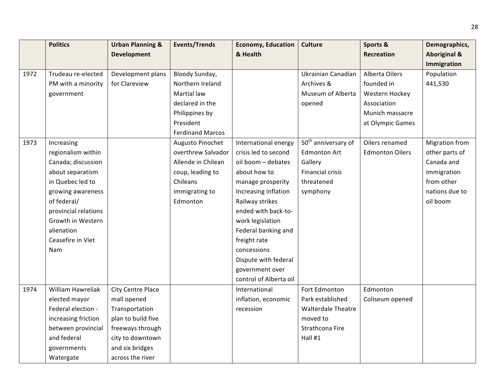|      | <b>Politics</b>      | <b>Urban Planning &amp;</b> | <b>Events/Trends</b>    | <b>Economy, Education</b> | Culture                         | Sports &               | Demographics,           |
|------|----------------------|-----------------------------|-------------------------|---------------------------|---------------------------------|------------------------|-------------------------|
|      |                      | <b>Development</b>          |                         | & Health                  |                                 | <b>Recreation</b>      | <b>Aboriginal &amp;</b> |
|      |                      |                             |                         |                           |                                 |                        | Immigration             |
| 1972 | Trudeau re-elected   | Development plans           | Bloody Sunday,          |                           | Ukrainian Canadian              | Alberta Oilers         | Population              |
|      | PM with a minority   | for Clareview               | Northern Ireland        |                           | Archives &                      | founded in             | 441,530                 |
|      | government           |                             | <b>Martial law</b>      |                           | Museum of Alberta               | Western Hockey         |                         |
|      |                      |                             | declared in the         |                           | opened                          | Association            |                         |
|      |                      |                             | Philippines by          |                           |                                 | Munich massacre        |                         |
|      |                      |                             | President               |                           |                                 | at Olympic Games       |                         |
|      |                      |                             | <b>Ferdinand Marcos</b> |                           |                                 |                        |                         |
| 1973 | Increasing           |                             | Augusto Pinochet        | International energy      | 50 <sup>th</sup> anniversary of | Oilers renamed         | <b>Migration from</b>   |
|      | regionalism within   |                             | overthrew Salvador      | crisis led to second      | <b>Edmonton Art</b>             | <b>Edmonton Oilers</b> | other parts of          |
|      | Canada; discussion   |                             | Allende in Chilean      | oil boom - debates        | Gallery                         |                        | Canada and              |
|      | about separatism     |                             | coup, leading to        | about how to              | <b>Financial crisis</b>         |                        | immigration             |
|      | in Quebec led to     |                             | Chileans                | manage prosperity         | threatened                      |                        | from other              |
|      | growing awareness    |                             | immigrating to          | Increasing inflation      | symphony                        |                        | nations due to          |
|      | of federal/          |                             | Edmonton                | Railway strikes           |                                 |                        | oil boom                |
|      | provincial relations |                             |                         | ended with back-to-       |                                 |                        |                         |
|      | Growth in Western    |                             |                         | work legislation          |                                 |                        |                         |
|      | alienation           |                             |                         | Federal banking and       |                                 |                        |                         |
|      | Ceasefire in Viet    |                             |                         | freight rate              |                                 |                        |                         |
|      | Nam                  |                             |                         | concessions               |                                 |                        |                         |
|      |                      |                             |                         | Dispute with federal      |                                 |                        |                         |
|      |                      |                             |                         | government over           |                                 |                        |                         |
|      |                      |                             |                         | control of Alberta oil    |                                 |                        |                         |
| 1974 | William Hawreliak    | <b>City Centre Place</b>    |                         | International             | Fort Edmonton                   | Edmonton               |                         |
|      | elected mayor        | mall opened                 |                         | inflation, economic       | Park established                | Coliseum opened        |                         |
|      | Federal election -   | Transportation              |                         | recession                 | <b>Walterdale Theatre</b>       |                        |                         |
|      | increasing friction  | plan to build five          |                         |                           | moved to                        |                        |                         |
|      | between provincial   | freeways through            |                         |                           | Strathcona Fire                 |                        |                         |
|      | and federal          | city to downtown            |                         |                           | Hall #1                         |                        |                         |
|      | governments          | and six bridges             |                         |                           |                                 |                        |                         |
|      | Watergate            | across the river            |                         |                           |                                 |                        |                         |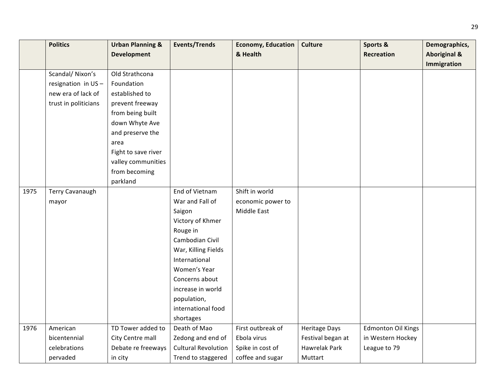|      | <b>Politics</b>        | <b>Urban Planning &amp;</b> | <b>Events/Trends</b>       | <b>Economy, Education</b> | <b>Culture</b>       | Sports &                  | Demographics,           |
|------|------------------------|-----------------------------|----------------------------|---------------------------|----------------------|---------------------------|-------------------------|
|      |                        | <b>Development</b>          |                            | & Health                  |                      | Recreation                | <b>Aboriginal &amp;</b> |
|      |                        |                             |                            |                           |                      |                           | Immigration             |
|      | Scandal/ Nixon's       | Old Strathcona              |                            |                           |                      |                           |                         |
|      | resignation in US-     | Foundation                  |                            |                           |                      |                           |                         |
|      | new era of lack of     | established to              |                            |                           |                      |                           |                         |
|      | trust in politicians   | prevent freeway             |                            |                           |                      |                           |                         |
|      |                        | from being built            |                            |                           |                      |                           |                         |
|      |                        | down Whyte Ave              |                            |                           |                      |                           |                         |
|      |                        | and preserve the            |                            |                           |                      |                           |                         |
|      |                        | area                        |                            |                           |                      |                           |                         |
|      |                        | Fight to save river         |                            |                           |                      |                           |                         |
|      |                        | valley communities          |                            |                           |                      |                           |                         |
|      |                        | from becoming               |                            |                           |                      |                           |                         |
|      |                        | parkland                    |                            |                           |                      |                           |                         |
| 1975 | <b>Terry Cavanaugh</b> |                             | End of Vietnam             | Shift in world            |                      |                           |                         |
|      | mayor                  |                             | War and Fall of            | economic power to         |                      |                           |                         |
|      |                        |                             | Saigon                     | Middle East               |                      |                           |                         |
|      |                        |                             | Victory of Khmer           |                           |                      |                           |                         |
|      |                        |                             | Rouge in                   |                           |                      |                           |                         |
|      |                        |                             | Cambodian Civil            |                           |                      |                           |                         |
|      |                        |                             | War, Killing Fields        |                           |                      |                           |                         |
|      |                        |                             | International              |                           |                      |                           |                         |
|      |                        |                             | Women's Year               |                           |                      |                           |                         |
|      |                        |                             | Concerns about             |                           |                      |                           |                         |
|      |                        |                             | increase in world          |                           |                      |                           |                         |
|      |                        |                             | population,                |                           |                      |                           |                         |
|      |                        |                             | international food         |                           |                      |                           |                         |
|      |                        |                             | shortages                  |                           |                      |                           |                         |
| 1976 | American               | TD Tower added to           | Death of Mao               | First outbreak of         | <b>Heritage Days</b> | <b>Edmonton Oil Kings</b> |                         |
|      | bicentennial           | City Centre mall            | Zedong and end of          | Ebola virus               | Festival began at    | in Western Hockey         |                         |
|      | celebrations           | Debate re freeways          | <b>Cultural Revolution</b> | Spike in cost of          | <b>Hawrelak Park</b> | League to 79              |                         |
|      | pervaded               | in city                     | Trend to staggered         | coffee and sugar          | Muttart              |                           |                         |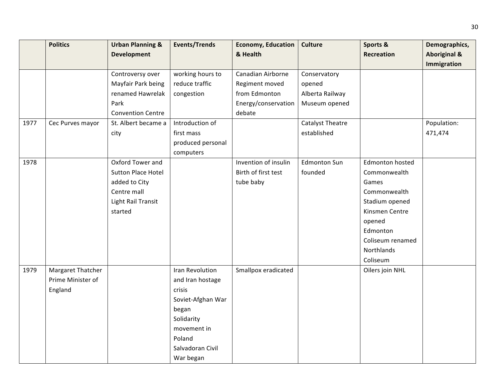|      | <b>Politics</b>   | <b>Urban Planning &amp;</b> | <b>Events/Trends</b> | <b>Economy, Education</b> | <b>Culture</b>          | Sports &          | Demographics,           |
|------|-------------------|-----------------------------|----------------------|---------------------------|-------------------------|-------------------|-------------------------|
|      |                   | <b>Development</b>          |                      | & Health                  |                         | <b>Recreation</b> | <b>Aboriginal &amp;</b> |
|      |                   |                             |                      |                           |                         |                   | Immigration             |
|      |                   | Controversy over            | working hours to     | Canadian Airborne         | Conservatory            |                   |                         |
|      |                   | Mayfair Park being          | reduce traffic       | Regiment moved            | opened                  |                   |                         |
|      |                   | renamed Hawrelak            | congestion           | from Edmonton             | Alberta Railway         |                   |                         |
|      |                   | Park                        |                      | Energy/conservation       | Museum opened           |                   |                         |
|      |                   | <b>Convention Centre</b>    |                      | debate                    |                         |                   |                         |
| 1977 | Cec Purves mayor  | St. Albert became a         | Introduction of      |                           | <b>Catalyst Theatre</b> |                   | Population:             |
|      |                   | city                        | first mass           |                           | established             |                   | 471,474                 |
|      |                   |                             | produced personal    |                           |                         |                   |                         |
|      |                   |                             | computers            |                           |                         |                   |                         |
| 1978 |                   | Oxford Tower and            |                      | Invention of insulin      | <b>Edmonton Sun</b>     | Edmonton hosted   |                         |
|      |                   | <b>Sutton Place Hotel</b>   |                      | Birth of first test       | founded                 | Commonwealth      |                         |
|      |                   | added to City               |                      | tube baby                 |                         | Games             |                         |
|      |                   | Centre mall                 |                      |                           |                         | Commonwealth      |                         |
|      |                   | <b>Light Rail Transit</b>   |                      |                           |                         | Stadium opened    |                         |
|      |                   | started                     |                      |                           |                         | Kinsmen Centre    |                         |
|      |                   |                             |                      |                           |                         | opened            |                         |
|      |                   |                             |                      |                           |                         | Edmonton          |                         |
|      |                   |                             |                      |                           |                         | Coliseum renamed  |                         |
|      |                   |                             |                      |                           |                         | Northlands        |                         |
|      |                   |                             |                      |                           |                         | Coliseum          |                         |
| 1979 | Margaret Thatcher |                             | Iran Revolution      | Smallpox eradicated       |                         | Oilers join NHL   |                         |
|      | Prime Minister of |                             | and Iran hostage     |                           |                         |                   |                         |
|      | England           |                             | crisis               |                           |                         |                   |                         |
|      |                   |                             | Soviet-Afghan War    |                           |                         |                   |                         |
|      |                   |                             | began                |                           |                         |                   |                         |
|      |                   |                             | Solidarity           |                           |                         |                   |                         |
|      |                   |                             | movement in          |                           |                         |                   |                         |
|      |                   |                             | Poland               |                           |                         |                   |                         |
|      |                   |                             | Salvadoran Civil     |                           |                         |                   |                         |
|      |                   |                             | War began            |                           |                         |                   |                         |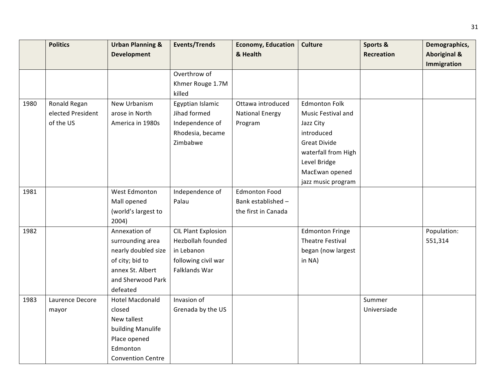|      | <b>Politics</b>   | <b>Urban Planning &amp;</b> | <b>Events/Trends</b>       | <b>Economy, Education</b> | <b>Culture</b>          | Sports &    | Demographics,           |
|------|-------------------|-----------------------------|----------------------------|---------------------------|-------------------------|-------------|-------------------------|
|      |                   | <b>Development</b>          |                            | & Health                  |                         | Recreation  | <b>Aboriginal &amp;</b> |
|      |                   |                             |                            |                           |                         |             | Immigration             |
|      |                   |                             | Overthrow of               |                           |                         |             |                         |
|      |                   |                             | Khmer Rouge 1.7M           |                           |                         |             |                         |
|      |                   |                             | killed                     |                           |                         |             |                         |
| 1980 | Ronald Regan      | New Urbanism                | Egyptian Islamic           | Ottawa introduced         | <b>Edmonton Folk</b>    |             |                         |
|      | elected President | arose in North              | Jihad formed               | <b>National Energy</b>    | Music Festival and      |             |                         |
|      | of the US         | America in 1980s            | Independence of            | Program                   | Jazz City               |             |                         |
|      |                   |                             | Rhodesia, became           |                           | introduced              |             |                         |
|      |                   |                             | Zimbabwe                   |                           | <b>Great Divide</b>     |             |                         |
|      |                   |                             |                            |                           | waterfall from High     |             |                         |
|      |                   |                             |                            |                           | Level Bridge            |             |                         |
|      |                   |                             |                            |                           | MacEwan opened          |             |                         |
|      |                   |                             |                            |                           | jazz music program      |             |                         |
| 1981 |                   | West Edmonton               | Independence of            | <b>Edmonton Food</b>      |                         |             |                         |
|      |                   | Mall opened                 | Palau                      | Bank established -        |                         |             |                         |
|      |                   | (world's largest to         |                            | the first in Canada       |                         |             |                         |
|      |                   | 2004)                       |                            |                           |                         |             |                         |
| 1982 |                   | Annexation of               | <b>CIL Plant Explosion</b> |                           | <b>Edmonton Fringe</b>  |             | Population:             |
|      |                   | surrounding area            | Hezbollah founded          |                           | <b>Theatre Festival</b> |             | 551,314                 |
|      |                   | nearly doubled size         | in Lebanon                 |                           | began (now largest      |             |                         |
|      |                   | of city; bid to             | following civil war        |                           | in NA)                  |             |                         |
|      |                   | annex St. Albert            | Falklands War              |                           |                         |             |                         |
|      |                   | and Sherwood Park           |                            |                           |                         |             |                         |
|      |                   | defeated                    |                            |                           |                         |             |                         |
| 1983 | Laurence Decore   | <b>Hotel Macdonald</b>      | Invasion of                |                           |                         | Summer      |                         |
|      | mayor             | closed                      | Grenada by the US          |                           |                         | Universiade |                         |
|      |                   | New tallest                 |                            |                           |                         |             |                         |
|      |                   | building Manulife           |                            |                           |                         |             |                         |
|      |                   | Place opened                |                            |                           |                         |             |                         |
|      |                   | Edmonton                    |                            |                           |                         |             |                         |
|      |                   | <b>Convention Centre</b>    |                            |                           |                         |             |                         |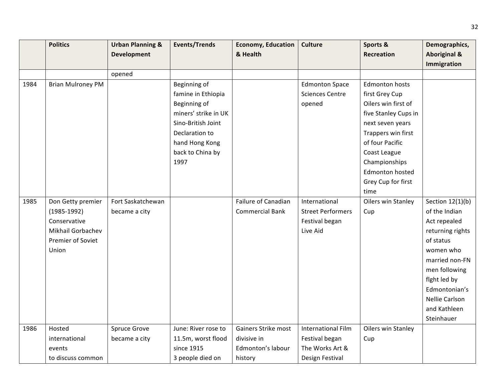|      | <b>Politics</b>          | <b>Urban Planning &amp;</b> | <b>Events/Trends</b> | <b>Economy, Education</b> | <b>Culture</b>            | Sports &             | Demographics,           |
|------|--------------------------|-----------------------------|----------------------|---------------------------|---------------------------|----------------------|-------------------------|
|      |                          | <b>Development</b>          |                      | & Health                  |                           | Recreation           | <b>Aboriginal &amp;</b> |
|      |                          |                             |                      |                           |                           |                      | Immigration             |
|      |                          | opened                      |                      |                           |                           |                      |                         |
| 1984 | <b>Brian Mulroney PM</b> |                             | Beginning of         |                           | <b>Edmonton Space</b>     | Edmonton hosts       |                         |
|      |                          |                             | famine in Ethiopia   |                           | <b>Sciences Centre</b>    | first Grey Cup       |                         |
|      |                          |                             | Beginning of         |                           | opened                    | Oilers win first of  |                         |
|      |                          |                             | miners' strike in UK |                           |                           | five Stanley Cups in |                         |
|      |                          |                             | Sino-British Joint   |                           |                           | next seven years     |                         |
|      |                          |                             | Declaration to       |                           |                           | Trappers win first   |                         |
|      |                          |                             | hand Hong Kong       |                           |                           | of four Pacific      |                         |
|      |                          |                             | back to China by     |                           |                           | Coast League         |                         |
|      |                          |                             | 1997                 |                           |                           | Championships        |                         |
|      |                          |                             |                      |                           |                           | Edmonton hosted      |                         |
|      |                          |                             |                      |                           |                           | Grey Cup for first   |                         |
|      |                          |                             |                      |                           |                           | time                 |                         |
| 1985 | Don Getty premier        | Fort Saskatchewan           |                      | Failure of Canadian       | International             | Oilers win Stanley   | Section 12(1)(b)        |
|      | $(1985-1992)$            | became a city               |                      | <b>Commercial Bank</b>    | <b>Street Performers</b>  | Cup                  | of the Indian           |
|      | Conservative             |                             |                      |                           | Festival began            |                      | Act repealed            |
|      | Mikhail Gorbachev        |                             |                      |                           | Live Aid                  |                      | returning rights        |
|      | Premier of Soviet        |                             |                      |                           |                           |                      | of status               |
|      | Union                    |                             |                      |                           |                           |                      | women who               |
|      |                          |                             |                      |                           |                           |                      | married non-FN          |
|      |                          |                             |                      |                           |                           |                      | men following           |
|      |                          |                             |                      |                           |                           |                      | fight led by            |
|      |                          |                             |                      |                           |                           |                      | Edmontonian's           |
|      |                          |                             |                      |                           |                           |                      | Nellie Carlson          |
|      |                          |                             |                      |                           |                           |                      | and Kathleen            |
|      |                          |                             |                      |                           |                           |                      | Steinhauer              |
| 1986 | Hosted                   | <b>Spruce Grove</b>         | June: River rose to  | Gainers Strike most       | <b>International Film</b> | Oilers win Stanley   |                         |
|      | international            | became a city               | 11.5m, worst flood   | divisive in               | Festival began            | Cup                  |                         |
|      | events                   |                             | since 1915           | Edmonton's labour         | The Works Art &           |                      |                         |
|      | to discuss common        |                             | 3 people died on     | history                   | Design Festival           |                      |                         |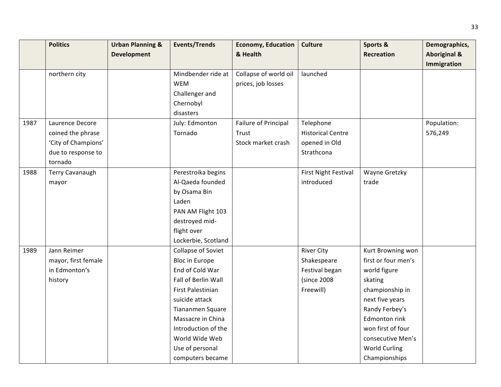|      | <b>Politics</b>     | <b>Urban Planning &amp;</b> | <b>Events/Trends</b>  | <b>Economy, Education</b> | <b>Culture</b>           | Sports &             | Demographics,           |
|------|---------------------|-----------------------------|-----------------------|---------------------------|--------------------------|----------------------|-------------------------|
|      |                     | <b>Development</b>          |                       | & Health                  |                          | <b>Recreation</b>    | <b>Aboriginal &amp;</b> |
|      |                     |                             |                       |                           |                          |                      | <b>Immigration</b>      |
|      | northern city       |                             | Mindbender ride at    | Collapse of world oil     | launched                 |                      |                         |
|      |                     |                             | <b>WEM</b>            | prices, job losses        |                          |                      |                         |
|      |                     |                             | Challenger and        |                           |                          |                      |                         |
|      |                     |                             | Chernobyl             |                           |                          |                      |                         |
|      |                     |                             | disasters             |                           |                          |                      |                         |
| 1987 | Laurence Decore     |                             | July: Edmonton        | Failure of Principal      | Telephone                |                      | Population:             |
|      | coined the phrase   |                             | Tornado               | Trust                     | <b>Historical Centre</b> |                      | 576,249                 |
|      | 'City of Champions' |                             |                       | Stock market crash        | opened in Old            |                      |                         |
|      | due to response to  |                             |                       |                           | Strathcona               |                      |                         |
|      | tornado             |                             |                       |                           |                          |                      |                         |
| 1988 | Terry Cavanaugh     |                             | Perestroika begins    |                           | First Night Festival     | Wayne Gretzky        |                         |
|      | mayor               |                             | Al-Qaeda founded      |                           | introduced               | trade                |                         |
|      |                     |                             | by Osama Bin          |                           |                          |                      |                         |
|      |                     |                             | Laden                 |                           |                          |                      |                         |
|      |                     |                             | PAN AM Flight 103     |                           |                          |                      |                         |
|      |                     |                             | destroyed mid-        |                           |                          |                      |                         |
|      |                     |                             | flight over           |                           |                          |                      |                         |
|      |                     |                             | Lockerbie, Scotland   |                           |                          |                      |                         |
| 1989 | Jann Reimer         |                             | Collapse of Soviet    |                           | <b>River City</b>        | Kurt Browning won    |                         |
|      | mayor, first female |                             | <b>Bloc in Europe</b> |                           | Shakespeare              | first or four men's  |                         |
|      | in Edmonton's       |                             | End of Cold War       |                           | Festival began           | world figure         |                         |
|      | history             |                             | Fall of Berlin Wall   |                           | (since 2008              | skating              |                         |
|      |                     |                             | First Palestinian     |                           | Freewill)                | championship in      |                         |
|      |                     |                             | suicide attack        |                           |                          | next five years      |                         |
|      |                     |                             | Tiananmen Square      |                           |                          | Randy Ferbey's       |                         |
|      |                     |                             | Massacre in China     |                           |                          | <b>Edmonton rink</b> |                         |
|      |                     |                             | Introduction of the   |                           |                          | won first of four    |                         |
|      |                     |                             | World Wide Web        |                           |                          | consecutive Men's    |                         |
|      |                     |                             | Use of personal       |                           |                          | <b>World Curling</b> |                         |
|      |                     |                             | computers became      |                           |                          | Championships        |                         |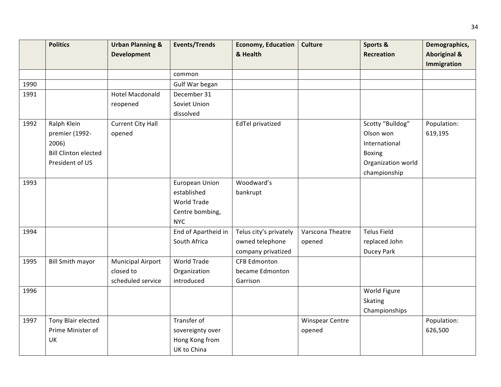|      | <b>Politics</b>             | <b>Urban Planning &amp;</b> | <b>Events/Trends</b>  | <b>Economy, Education</b> | <b>Culture</b>         | Sports &           | Demographics,           |
|------|-----------------------------|-----------------------------|-----------------------|---------------------------|------------------------|--------------------|-------------------------|
|      |                             | <b>Development</b>          |                       | & Health                  |                        | <b>Recreation</b>  | <b>Aboriginal &amp;</b> |
|      |                             |                             |                       |                           |                        |                    | <b>Immigration</b>      |
|      |                             |                             | common                |                           |                        |                    |                         |
| 1990 |                             |                             | Gulf War began        |                           |                        |                    |                         |
| 1991 |                             | <b>Hotel Macdonald</b>      | December 31           |                           |                        |                    |                         |
|      |                             | reopened                    | Soviet Union          |                           |                        |                    |                         |
|      |                             |                             | dissolved             |                           |                        |                    |                         |
| 1992 | Ralph Klein                 | <b>Current City Hall</b>    |                       | <b>EdTel privatized</b>   |                        | Scotty "Bulldog"   | Population:             |
|      | premier (1992-              | opened                      |                       |                           |                        | Olson won          | 619,195                 |
|      | 2006)                       |                             |                       |                           |                        | International      |                         |
|      | <b>Bill Clinton elected</b> |                             |                       |                           |                        | <b>Boxing</b>      |                         |
|      | President of US             |                             |                       |                           |                        | Organization world |                         |
|      |                             |                             |                       |                           |                        | championship       |                         |
| 1993 |                             |                             | <b>European Union</b> | Woodward's                |                        |                    |                         |
|      |                             |                             | established           | bankrupt                  |                        |                    |                         |
|      |                             |                             | World Trade           |                           |                        |                    |                         |
|      |                             |                             | Centre bombing,       |                           |                        |                    |                         |
|      |                             |                             | <b>NYC</b>            |                           |                        |                    |                         |
| 1994 |                             |                             | End of Apartheid in   | Telus city's privately    | Varscona Theatre       | <b>Telus Field</b> |                         |
|      |                             |                             | South Africa          | owned telephone           | opened                 | replaced John      |                         |
|      |                             |                             |                       | company privatized        |                        | Ducey Park         |                         |
| 1995 | <b>Bill Smith mayor</b>     | <b>Municipal Airport</b>    | World Trade           | <b>CFB Edmonton</b>       |                        |                    |                         |
|      |                             | closed to                   | Organization          | became Edmonton           |                        |                    |                         |
|      |                             | scheduled service           | introduced            | Garrison                  |                        |                    |                         |
| 1996 |                             |                             |                       |                           |                        | World Figure       |                         |
|      |                             |                             |                       |                           |                        | <b>Skating</b>     |                         |
|      |                             |                             |                       |                           |                        | Championships      |                         |
| 1997 | Tony Blair elected          |                             | Transfer of           |                           | <b>Winspear Centre</b> |                    | Population:             |
|      | Prime Minister of           |                             | sovereignty over      |                           | opened                 |                    | 626,500                 |
|      | UK                          |                             | Hong Kong from        |                           |                        |                    |                         |
|      |                             |                             | UK to China           |                           |                        |                    |                         |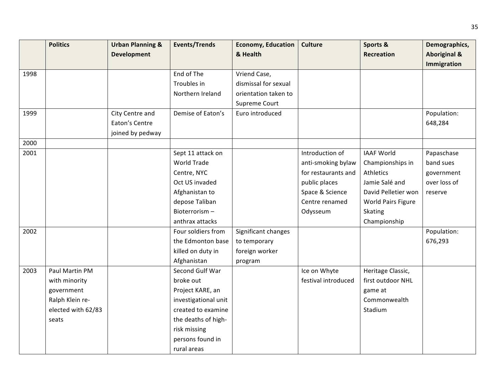|      | <b>Politics</b>    | <b>Urban Planning &amp;</b> | <b>Events/Trends</b> | <b>Economy, Education</b> | <b>Culture</b>      | Sports &            | Demographics,           |
|------|--------------------|-----------------------------|----------------------|---------------------------|---------------------|---------------------|-------------------------|
|      |                    | <b>Development</b>          |                      | & Health                  |                     | <b>Recreation</b>   | <b>Aboriginal &amp;</b> |
|      |                    |                             |                      |                           |                     |                     | Immigration             |
| 1998 |                    |                             | End of The           | Vriend Case,              |                     |                     |                         |
|      |                    |                             | Troubles in          | dismissal for sexual      |                     |                     |                         |
|      |                    |                             | Northern Ireland     | orientation taken to      |                     |                     |                         |
|      |                    |                             |                      | Supreme Court             |                     |                     |                         |
| 1999 |                    | City Centre and             | Demise of Eaton's    | Euro introduced           |                     |                     | Population:             |
|      |                    | Eaton's Centre              |                      |                           |                     |                     | 648,284                 |
|      |                    | joined by pedway            |                      |                           |                     |                     |                         |
| 2000 |                    |                             |                      |                           |                     |                     |                         |
| 2001 |                    |                             | Sept 11 attack on    |                           | Introduction of     | <b>IAAF World</b>   | Papaschase              |
|      |                    |                             | World Trade          |                           | anti-smoking bylaw  | Championships in    | band sues               |
|      |                    |                             | Centre, NYC          |                           | for restaurants and | Athletics           | government              |
|      |                    |                             | Oct US invaded       |                           | public places       | Jamie Salé and      | over loss of            |
|      |                    |                             | Afghanistan to       |                           | Space & Science     | David Pelletier won | reserve                 |
|      |                    |                             | depose Taliban       |                           | Centre renamed      | World Pairs Figure  |                         |
|      |                    |                             | Bioterrorism-        |                           | Odysseum            | <b>Skating</b>      |                         |
|      |                    |                             | anthrax attacks      |                           |                     | Championship        |                         |
| 2002 |                    |                             | Four soldiers from   | Significant changes       |                     |                     | Population:             |
|      |                    |                             | the Edmonton base    | to temporary              |                     |                     | 676,293                 |
|      |                    |                             | killed on duty in    | foreign worker            |                     |                     |                         |
|      |                    |                             | Afghanistan          | program                   |                     |                     |                         |
| 2003 | Paul Martin PM     |                             | Second Gulf War      |                           | Ice on Whyte        | Heritage Classic,   |                         |
|      | with minority      |                             | broke out            |                           | festival introduced | first outdoor NHL   |                         |
|      | government         |                             | Project KARE, an     |                           |                     | game at             |                         |
|      | Ralph Klein re-    |                             | investigational unit |                           |                     | Commonwealth        |                         |
|      | elected with 62/83 |                             | created to examine   |                           |                     | Stadium             |                         |
|      | seats              |                             | the deaths of high-  |                           |                     |                     |                         |
|      |                    |                             | risk missing         |                           |                     |                     |                         |
|      |                    |                             | persons found in     |                           |                     |                     |                         |
|      |                    |                             | rural areas          |                           |                     |                     |                         |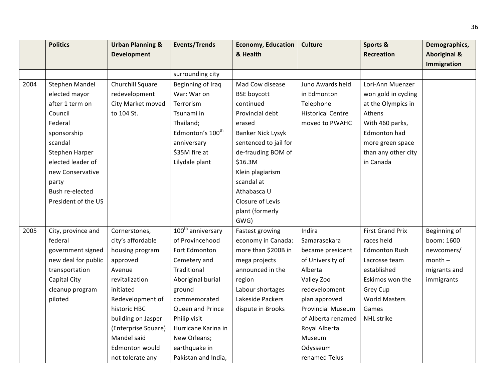|      | <b>Politics</b>     | <b>Urban Planning &amp;</b> | <b>Events/Trends</b>          | <b>Economy, Education</b> | Culture                  | Sports &                | Demographics,           |
|------|---------------------|-----------------------------|-------------------------------|---------------------------|--------------------------|-------------------------|-------------------------|
|      |                     | <b>Development</b>          |                               | & Health                  |                          | <b>Recreation</b>       | <b>Aboriginal &amp;</b> |
|      |                     |                             |                               |                           |                          |                         | Immigration             |
|      |                     |                             | surrounding city              |                           |                          |                         |                         |
| 2004 | Stephen Mandel      | Churchill Square            | Beginning of Iraq             | Mad Cow disease           | Juno Awards held         | Lori-Ann Muenzer        |                         |
|      | elected mayor       | redevelopment               | War: War on                   | <b>BSE</b> boycott        | in Edmonton              | won gold in cycling     |                         |
|      | after 1 term on     | City Market moved           | Terrorism                     | continued                 | Telephone                | at the Olympics in      |                         |
|      | Council             | to 104 St.                  | Tsunami in                    | Provincial debt           | <b>Historical Centre</b> | Athens                  |                         |
|      | Federal             |                             | Thailand;                     | erased                    | moved to PWAHC           | With 460 parks,         |                         |
|      | sponsorship         |                             | Edmonton's 100 <sup>th</sup>  | <b>Banker Nick Lysyk</b>  |                          | Edmonton had            |                         |
|      | scandal             |                             | anniversary                   | sentenced to jail for     |                          | more green space        |                         |
|      | Stephen Harper      |                             | \$35M fire at                 | de-frauding BOM of        |                          | than any other city     |                         |
|      | elected leader of   |                             | Lilydale plant                | \$16.3M                   |                          | in Canada               |                         |
|      | new Conservative    |                             |                               | Klein plagiarism          |                          |                         |                         |
|      | party               |                             |                               | scandal at                |                          |                         |                         |
|      | Bush re-elected     |                             |                               | Athabasca U               |                          |                         |                         |
|      | President of the US |                             |                               | Closure of Levis          |                          |                         |                         |
|      |                     |                             |                               | plant (formerly           |                          |                         |                         |
|      |                     |                             |                               | GWG)                      |                          |                         |                         |
| 2005 | City, province and  | Cornerstones,               | 100 <sup>th</sup> anniversary | Fastest growing           | Indira                   | <b>First Grand Prix</b> | Beginning of            |
|      | federal             | city's affordable           | of Provincehood               | economy in Canada:        | Samarasekara             | races held              | boom: 1600              |
|      | government signed   | housing program             | Fort Edmonton                 | more than \$200B in       | became president         | <b>Edmonton Rush</b>    | newcomers/              |
|      | new deal for public | approved                    | Cemetery and                  | mega projects             | of University of         | Lacrosse team           | $month -$               |
|      | transportation      | Avenue                      | Traditional                   | announced in the          | Alberta                  | established             | migrants and            |
|      | Capital City        | revitalization              | Aboriginal burial             | region                    | Valley Zoo               | Eskimos won the         | immigrants              |
|      | cleanup program     | initiated                   | ground                        | Labour shortages          | redevelopment            | Grey Cup                |                         |
|      | piloted             | Redevelopment of            | commemorated                  | Lakeside Packers          | plan approved            | <b>World Masters</b>    |                         |
|      |                     | historic HBC                | Queen and Prince              | dispute in Brooks         | <b>Provincial Museum</b> | Games                   |                         |
|      |                     | building on Jasper          | Philip visit                  |                           | of Alberta renamed       | <b>NHL</b> strike       |                         |
|      |                     | (Enterprise Square)         | Hurricane Karina in           |                           | Royal Alberta            |                         |                         |
|      |                     | Mandel said                 | New Orleans;                  |                           | Museum                   |                         |                         |
|      |                     | Edmonton would              | earthquake in                 |                           | Odysseum                 |                         |                         |
|      |                     | not tolerate any            | Pakistan and India,           |                           | renamed Telus            |                         |                         |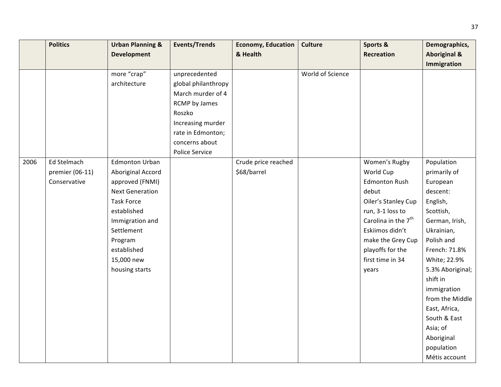|      | <b>Politics</b> | <b>Urban Planning &amp;</b> | <b>Events/Trends</b> | <b>Economy, Education</b> | <b>Culture</b>   | Sports &                        | Demographics,           |
|------|-----------------|-----------------------------|----------------------|---------------------------|------------------|---------------------------------|-------------------------|
|      |                 | <b>Development</b>          |                      | & Health                  |                  | <b>Recreation</b>               | <b>Aboriginal &amp;</b> |
|      |                 |                             |                      |                           |                  |                                 | <b>Immigration</b>      |
|      |                 | more "crap"                 | unprecedented        |                           | World of Science |                                 |                         |
|      |                 | architecture                | global philanthropy  |                           |                  |                                 |                         |
|      |                 |                             | March murder of 4    |                           |                  |                                 |                         |
|      |                 |                             | <b>RCMP</b> by James |                           |                  |                                 |                         |
|      |                 |                             | Roszko               |                           |                  |                                 |                         |
|      |                 |                             | Increasing murder    |                           |                  |                                 |                         |
|      |                 |                             | rate in Edmonton;    |                           |                  |                                 |                         |
|      |                 |                             | concerns about       |                           |                  |                                 |                         |
|      |                 |                             | Police Service       |                           |                  |                                 |                         |
| 2006 | Ed Stelmach     | <b>Edmonton Urban</b>       |                      | Crude price reached       |                  | Women's Rugby                   | Population              |
|      | premier (06-11) | Aboriginal Accord           |                      | \$68/barrel               |                  | World Cup                       | primarily of            |
|      | Conservative    | approved (FNMI)             |                      |                           |                  | <b>Edmonton Rush</b>            | European                |
|      |                 | <b>Next Generation</b>      |                      |                           |                  | debut                           | descent:                |
|      |                 | <b>Task Force</b>           |                      |                           |                  | Oiler's Stanley Cup             | English,                |
|      |                 | established                 |                      |                           |                  | run, 3-1 loss to                | Scottish,               |
|      |                 | Immigration and             |                      |                           |                  | Carolina in the 7 <sup>th</sup> | German, Irish,          |
|      |                 | Settlement                  |                      |                           |                  | Eskiimos didn't                 | Ukrainian,              |
|      |                 | Program                     |                      |                           |                  | make the Grey Cup               | Polish and              |
|      |                 | established                 |                      |                           |                  | playoffs for the                | French: 71.8%           |
|      |                 | 15,000 new                  |                      |                           |                  | first time in 34                | White; 22.9%            |
|      |                 | housing starts              |                      |                           |                  | years                           | 5.3% Aboriginal;        |
|      |                 |                             |                      |                           |                  |                                 | shift in                |
|      |                 |                             |                      |                           |                  |                                 | immigration             |
|      |                 |                             |                      |                           |                  |                                 | from the Middle         |
|      |                 |                             |                      |                           |                  |                                 | East, Africa,           |
|      |                 |                             |                      |                           |                  |                                 | South & East            |
|      |                 |                             |                      |                           |                  |                                 | Asia; of                |
|      |                 |                             |                      |                           |                  |                                 | Aboriginal              |
|      |                 |                             |                      |                           |                  |                                 | population              |
|      |                 |                             |                      |                           |                  |                                 | Métis account           |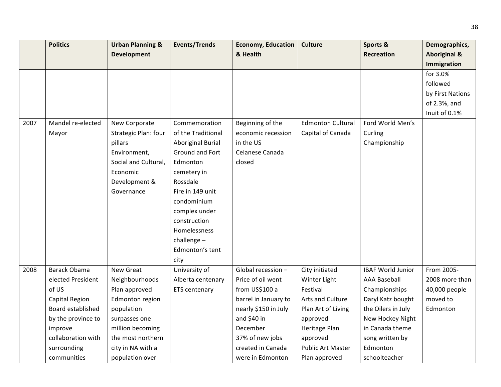|      | <b>Politics</b>       | <b>Urban Planning &amp;</b> | <b>Events/Trends</b>     | <b>Economy, Education</b> | <b>Culture</b>           | Sports &                 | Demographics,           |
|------|-----------------------|-----------------------------|--------------------------|---------------------------|--------------------------|--------------------------|-------------------------|
|      |                       | <b>Development</b>          |                          | & Health                  |                          | <b>Recreation</b>        | <b>Aboriginal &amp;</b> |
|      |                       |                             |                          |                           |                          |                          | Immigration             |
|      |                       |                             |                          |                           |                          |                          | for 3.0%                |
|      |                       |                             |                          |                           |                          |                          | followed                |
|      |                       |                             |                          |                           |                          |                          | by First Nations        |
|      |                       |                             |                          |                           |                          |                          | of 2.3%, and            |
|      |                       |                             |                          |                           |                          |                          | Inuit of 0.1%           |
| 2007 | Mandel re-elected     | New Corporate               | Commemoration            | Beginning of the          | <b>Edmonton Cultural</b> | Ford World Men's         |                         |
|      | Mayor                 | Strategic Plan: four        | of the Traditional       | economic recession        | Capital of Canada        | Curling                  |                         |
|      |                       | pillars                     | <b>Aboriginal Burial</b> | in the US                 |                          | Championship             |                         |
|      |                       | Environment,                | Ground and Fort          | Celanese Canada           |                          |                          |                         |
|      |                       | Social and Cultural,        | Edmonton                 | closed                    |                          |                          |                         |
|      |                       | Economic                    | cemetery in              |                           |                          |                          |                         |
|      |                       | Development &               | Rossdale                 |                           |                          |                          |                         |
|      |                       | Governance                  | Fire in 149 unit         |                           |                          |                          |                         |
|      |                       |                             | condominium              |                           |                          |                          |                         |
|      |                       |                             | complex under            |                           |                          |                          |                         |
|      |                       |                             | construction             |                           |                          |                          |                         |
|      |                       |                             | Homelessness             |                           |                          |                          |                         |
|      |                       |                             | challenge-               |                           |                          |                          |                         |
|      |                       |                             | Edmonton's tent          |                           |                          |                          |                         |
|      |                       |                             | city                     |                           |                          |                          |                         |
| 2008 | <b>Barack Obama</b>   | New Great                   | University of            | Global recession -        | City initiated           | <b>IBAF World Junior</b> | From 2005-              |
|      | elected President     | Neighbourhoods              | Alberta centenary        | Price of oil went         | Winter Light             | <b>AAA Baseball</b>      | 2008 more than          |
|      | of US                 | Plan approved               | <b>ETS centenary</b>     | from US\$100 a            | Festival                 | Championships            | 40,000 people           |
|      | <b>Capital Region</b> | Edmonton region             |                          | barrel in January to      | Arts and Culture         | Daryl Katz bought        | moved to                |
|      | Board established     | population                  |                          | nearly \$150 in July      | Plan Art of Living       | the Oilers in July       | Edmonton                |
|      | by the province to    | surpasses one               |                          | and \$40 in               | approved                 | New Hockey Night         |                         |
|      | improve               | million becoming            |                          | December                  | Heritage Plan            | in Canada theme          |                         |
|      | collaboration with    | the most northern           |                          | 37% of new jobs           | approved                 | song written by          |                         |
|      | surrounding           | city in NA with a           |                          | created in Canada         | Public Art Master        | Edmonton                 |                         |
|      | communities           | population over             |                          | were in Edmonton          | Plan approved            | schoolteacher            |                         |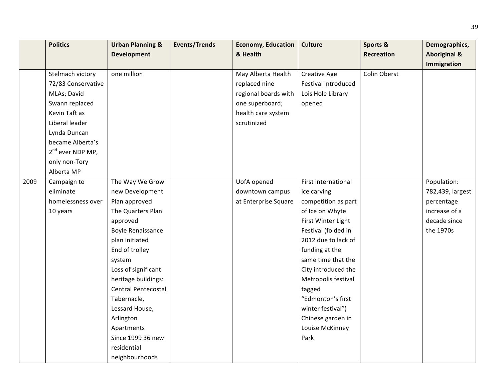|      | <b>Politics</b>              | <b>Urban Planning &amp;</b><br><b>Development</b> | <b>Events/Trends</b> | <b>Economy, Education</b><br>& Health | Culture             | Sports &<br><b>Recreation</b> | Demographics,<br><b>Aboriginal &amp;</b> |
|------|------------------------------|---------------------------------------------------|----------------------|---------------------------------------|---------------------|-------------------------------|------------------------------------------|
|      |                              |                                                   |                      |                                       |                     |                               | Immigration                              |
|      | Stelmach victory             | one million                                       |                      | May Alberta Health                    | Creative Age        | Colin Oberst                  |                                          |
|      | 72/83 Conservative           |                                                   |                      | replaced nine                         | Festival introduced |                               |                                          |
|      | MLAs; David                  |                                                   |                      | regional boards with                  | Lois Hole Library   |                               |                                          |
|      | Swann replaced               |                                                   |                      | one superboard;                       | opened              |                               |                                          |
|      | Kevin Taft as                |                                                   |                      | health care system                    |                     |                               |                                          |
|      | Liberal leader               |                                                   |                      | scrutinized                           |                     |                               |                                          |
|      | Lynda Duncan                 |                                                   |                      |                                       |                     |                               |                                          |
|      | became Alberta's             |                                                   |                      |                                       |                     |                               |                                          |
|      | 2 <sup>nd</sup> ever NDP MP, |                                                   |                      |                                       |                     |                               |                                          |
|      | only non-Tory                |                                                   |                      |                                       |                     |                               |                                          |
|      | Alberta MP                   |                                                   |                      |                                       |                     |                               |                                          |
| 2009 | Campaign to                  | The Way We Grow                                   |                      | UofA opened                           | First international |                               | Population:                              |
|      | eliminate                    | new Development                                   |                      | downtown campus                       | ice carving         |                               | 782,439, largest                         |
|      | homelessness over            | Plan approved                                     |                      | at Enterprise Square                  | competition as part |                               | percentage                               |
|      | 10 years                     | The Quarters Plan                                 |                      |                                       | of Ice on Whyte     |                               | increase of a                            |
|      |                              | approved                                          |                      |                                       | First Winter Light  |                               | decade since                             |
|      |                              | <b>Boyle Renaissance</b>                          |                      |                                       | Festival (folded in |                               | the 1970s                                |
|      |                              | plan initiated                                    |                      |                                       | 2012 due to lack of |                               |                                          |
|      |                              | End of trolley                                    |                      |                                       | funding at the      |                               |                                          |
|      |                              | system                                            |                      |                                       | same time that the  |                               |                                          |
|      |                              | Loss of significant                               |                      |                                       | City introduced the |                               |                                          |
|      |                              | heritage buildings:                               |                      |                                       | Metropolis festival |                               |                                          |
|      |                              | <b>Central Pentecostal</b>                        |                      |                                       | tagged              |                               |                                          |
|      |                              | Tabernacle,                                       |                      |                                       | "Edmonton's first   |                               |                                          |
|      |                              | Lessard House,                                    |                      |                                       | winter festival")   |                               |                                          |
|      |                              | Arlington                                         |                      |                                       | Chinese garden in   |                               |                                          |
|      |                              | Apartments                                        |                      |                                       | Louise McKinney     |                               |                                          |
|      |                              | Since 1999 36 new                                 |                      |                                       | Park                |                               |                                          |
|      |                              | residential                                       |                      |                                       |                     |                               |                                          |
|      |                              | neighbourhoods                                    |                      |                                       |                     |                               |                                          |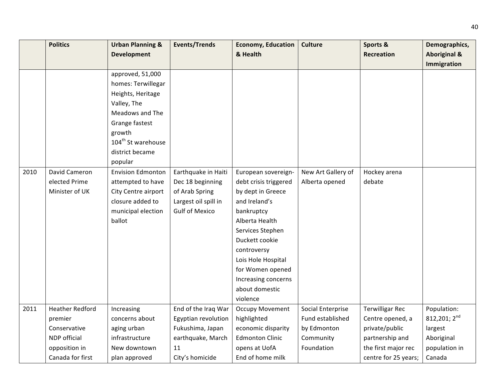|      | <b>Politics</b>        | <b>Urban Planning &amp;</b>    | <b>Events/Trends</b>  | <b>Economy, Education</b> | <b>Culture</b>     | Sports &               | Demographics,           |
|------|------------------------|--------------------------------|-----------------------|---------------------------|--------------------|------------------------|-------------------------|
|      |                        | <b>Development</b>             |                       | & Health                  |                    | <b>Recreation</b>      | <b>Aboriginal &amp;</b> |
|      |                        |                                |                       |                           |                    |                        | Immigration             |
|      |                        | approved, 51,000               |                       |                           |                    |                        |                         |
|      |                        | homes: Terwillegar             |                       |                           |                    |                        |                         |
|      |                        | Heights, Heritage              |                       |                           |                    |                        |                         |
|      |                        | Valley, The                    |                       |                           |                    |                        |                         |
|      |                        | Meadows and The                |                       |                           |                    |                        |                         |
|      |                        | Grange fastest                 |                       |                           |                    |                        |                         |
|      |                        | growth                         |                       |                           |                    |                        |                         |
|      |                        | 104 <sup>th</sup> St warehouse |                       |                           |                    |                        |                         |
|      |                        | district became                |                       |                           |                    |                        |                         |
|      |                        | popular                        |                       |                           |                    |                        |                         |
| 2010 | David Cameron          | <b>Envision Edmonton</b>       | Earthquake in Haiti   | European sovereign-       | New Art Gallery of | Hockey arena           |                         |
|      | elected Prime          | attempted to have              | Dec 18 beginning      | debt crisis triggered     | Alberta opened     | debate                 |                         |
|      | Minister of UK         | City Centre airport            | of Arab Spring        | by dept in Greece         |                    |                        |                         |
|      |                        | closure added to               | Largest oil spill in  | and Ireland's             |                    |                        |                         |
|      |                        | municipal election             | <b>Gulf of Mexico</b> | bankruptcy                |                    |                        |                         |
|      |                        | ballot                         |                       | Alberta Health            |                    |                        |                         |
|      |                        |                                |                       | Services Stephen          |                    |                        |                         |
|      |                        |                                |                       | Duckett cookie            |                    |                        |                         |
|      |                        |                                |                       | controversy               |                    |                        |                         |
|      |                        |                                |                       | Lois Hole Hospital        |                    |                        |                         |
|      |                        |                                |                       | for Women opened          |                    |                        |                         |
|      |                        |                                |                       | Increasing concerns       |                    |                        |                         |
|      |                        |                                |                       | about domestic            |                    |                        |                         |
|      |                        |                                |                       | violence                  |                    |                        |                         |
| 2011 | <b>Heather Redford</b> | Increasing                     | End of the Iraq War   | <b>Occupy Movement</b>    | Social Enterprise  | <b>Terwilligar Rec</b> | Population:             |
|      | premier                | concerns about                 | Egyptian revolution   | highlighted               | Fund established   | Centre opened, a       | 812, 201; $2nd$         |
|      | Conservative           | aging urban                    | Fukushima, Japan      | economic disparity        | by Edmonton        | private/public         | largest                 |
|      | NDP official           | infrastructure                 | earthquake, March     | <b>Edmonton Clinic</b>    | Community          | partnership and        | Aboriginal              |
|      | opposition in          | New downtown                   | 11                    | opens at UofA             | Foundation         | the first major rec    | population in           |
|      | Canada for first       | plan approved                  | City's homicide       | End of home milk          |                    | centre for 25 years;   | Canada                  |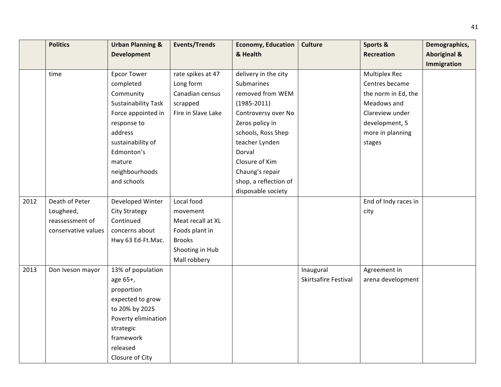|      | <b>Politics</b>     | <b>Urban Planning &amp;</b> | <b>Events/Trends</b> | <b>Economy, Education</b> | <b>Culture</b>       | Sports &             | Demographics,           |
|------|---------------------|-----------------------------|----------------------|---------------------------|----------------------|----------------------|-------------------------|
|      |                     | <b>Development</b>          |                      | & Health                  |                      | Recreation           | <b>Aboriginal &amp;</b> |
|      |                     |                             |                      |                           |                      |                      | <b>Immigration</b>      |
|      | time                | <b>Epcor Tower</b>          | rate spikes at 47    | delivery in the city      |                      | <b>Multiplex Rec</b> |                         |
|      |                     | completed                   | Long form            | Submarines                |                      | Centres became       |                         |
|      |                     | Community                   | Canadian census      | removed from WEM          |                      | the norm in Ed, the  |                         |
|      |                     | <b>Sustainability Task</b>  | scrapped             | $(1985 - 2011)$           |                      | Meadows and          |                         |
|      |                     | Force appointed in          | Fire in Slave Lake   | Controversy over No       |                      | Clareview under      |                         |
|      |                     | response to                 |                      | Zeros policy in           |                      | development, 5       |                         |
|      |                     | address                     |                      | schools, Ross Shep        |                      | more in planning     |                         |
|      |                     | sustainability of           |                      | teacher Lynden            |                      | stages               |                         |
|      |                     | Edmonton's                  |                      | Dorval                    |                      |                      |                         |
|      |                     | mature                      |                      | Closure of Kim            |                      |                      |                         |
|      |                     | neighbourhoods              |                      | Chaung's repair           |                      |                      |                         |
|      |                     | and schools                 |                      | shop, a reflection of     |                      |                      |                         |
|      |                     |                             |                      | disposable society        |                      |                      |                         |
| 2012 | Death of Peter      | Developed Winter            | Local food           |                           |                      | End of Indy races in |                         |
|      | Lougheed,           | <b>City Strategy</b>        | movement             |                           |                      | city                 |                         |
|      | reassessment of     | Continued                   | Meat recall at XL    |                           |                      |                      |                         |
|      | conservative values | concerns about              | Foods plant in       |                           |                      |                      |                         |
|      |                     | Hwy 63 Ed-Ft.Mac.           | <b>Brooks</b>        |                           |                      |                      |                         |
|      |                     |                             | Shooting in Hub      |                           |                      |                      |                         |
|      |                     |                             | Mall robbery         |                           |                      |                      |                         |
| 2013 | Don Iveson mayor    | 13% of population           |                      |                           | Inaugural            | Agreement in         |                         |
|      |                     | age 65+,                    |                      |                           | Skirtsafire Festival | arena development    |                         |
|      |                     | proportion                  |                      |                           |                      |                      |                         |
|      |                     | expected to grow            |                      |                           |                      |                      |                         |
|      |                     | to 20% by 2025              |                      |                           |                      |                      |                         |
|      |                     | Poverty elimination         |                      |                           |                      |                      |                         |
|      |                     | strategic                   |                      |                           |                      |                      |                         |
|      |                     | framework                   |                      |                           |                      |                      |                         |
|      |                     | released                    |                      |                           |                      |                      |                         |
|      |                     | Closure of City             |                      |                           |                      |                      |                         |